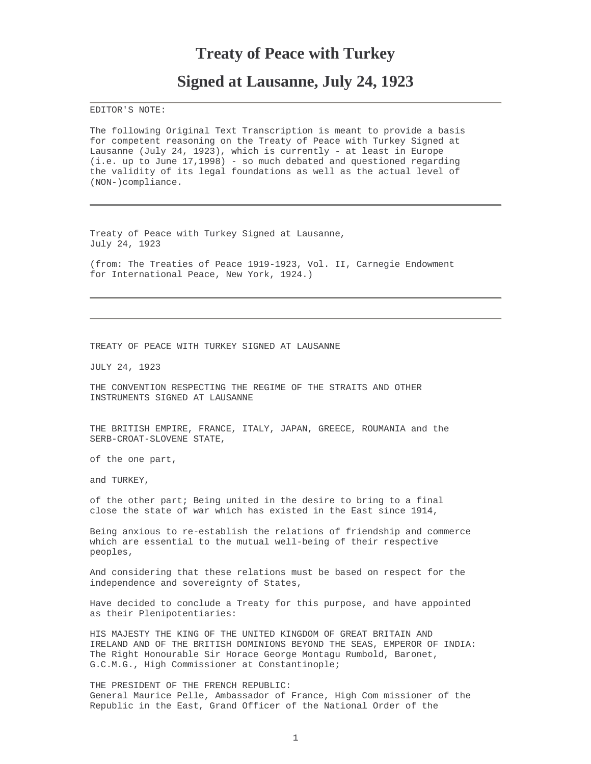# **Treaty of Peace with Turkey**

## **Signed at Lausanne, July 24, 1923**

EDITOR'S NOTE:

The following Original Text Transcription is meant to provide a basis for competent reasoning on the Treaty of Peace with Turkey Signed at Lausanne (July 24, 1923), which is currently - at least in Europe (i.e. up to June 17,1998) - so much debated and questioned regarding the validity of its legal foundations as well as the actual level of (NON-)compliance.

Treaty of Peace with Turkey Signed at Lausanne, July 24, 1923

(from: The Treaties of Peace 1919-1923, Vol. II, Carnegie Endowment for International Peace, New York, 1924.)

TREATY OF PEACE WITH TURKEY SIGNED AT LAUSANNE

JULY 24, 1923

THE CONVENTION RESPECTING THE REGIME OF THE STRAITS AND OTHER INSTRUMENTS SIGNED AT LAUSANNE

THE BRITISH EMPIRE, FRANCE, ITALY, JAPAN, GREECE, ROUMANIA and the SERB-CROAT-SLOVENE STATE,

of the one part,

and TURKEY,

of the other part; Being united in the desire to bring to a final close the state of war which has existed in the East since 1914,

Being anxious to re-establish the relations of friendship and commerce which are essential to the mutual well-being of their respective peoples,

And considering that these relations must be based on respect for the independence and sovereignty of States,

Have decided to conclude a Treaty for this purpose, and have appointed as their Plenipotentiaries:

HIS MAJESTY THE KING OF THE UNITED KINGDOM OF GREAT BRITAIN AND IRELAND AND OF THE BRITISH DOMINIONS BEYOND THE SEAS, EMPEROR OF INDIA: The Right Honourable Sir Horace George Montagu Rumbold, Baronet, G.C.M.G., High Commissioner at Constantinople;

THE PRESIDENT OF THE FRENCH REPUBLIC: General Maurice Pelle, Ambassador of France, High Com missioner of the Republic in the East, Grand Officer of the National Order of the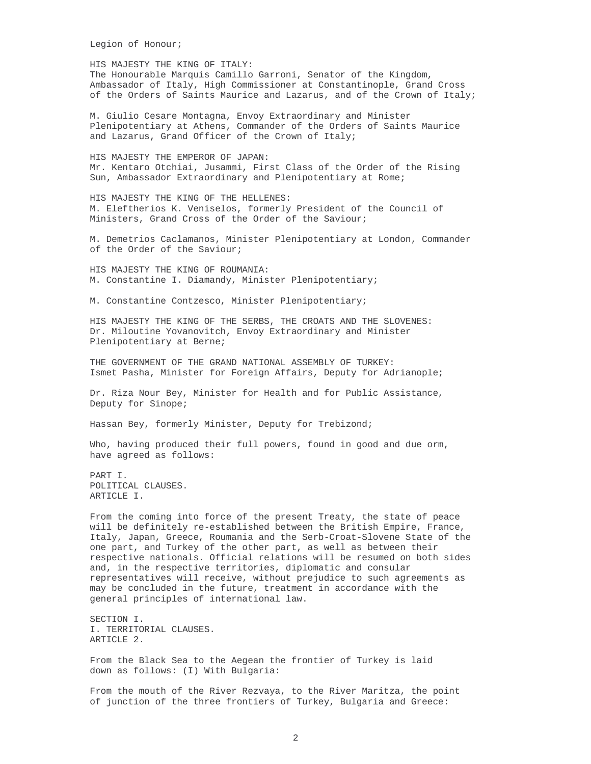Legion of Honour;

HIS MAJESTY THE KING OF ITALY: The Honourable Marquis Camillo Garroni, Senator of the Kingdom, Ambassador of Italy, High Commissioner at Constantinople, Grand Cross of the Orders of Saints Maurice and Lazarus, and of the Crown of Italy;

M. Giulio Cesare Montagna, Envoy Extraordinary and Minister Plenipotentiary at Athens, Commander of the Orders of Saints Maurice and Lazarus, Grand Officer of the Crown of Italy;

HIS MAJESTY THE EMPEROR OF JAPAN: Mr. Kentaro Otchiai, Jusammi, First Class of the Order of the Rising Sun, Ambassador Extraordinary and Plenipotentiary at Rome;

HIS MAJESTY THE KING OF THE HELLENES: M. Eleftherios K. Veniselos, formerly President of the Council of Ministers, Grand Cross of the Order of the Saviour;

M. Demetrios Caclamanos, Minister Plenipotentiary at London, Commander of the Order of the Saviour;

HIS MAJESTY THE KING OF ROUMANIA: M. Constantine I. Diamandy, Minister Plenipotentiary;

M. Constantine Contzesco, Minister Plenipotentiary;

HIS MAJESTY THE KING OF THE SERBS, THE CROATS AND THE SLOVENES: Dr. Miloutine Yovanovitch, Envoy Extraordinary and Minister Plenipotentiary at Berne;

THE GOVERNMENT OF THE GRAND NATIONAL ASSEMBLY OF TURKEY: Ismet Pasha, Minister for Foreign Affairs, Deputy for Adrianople;

Dr. Riza Nour Bey, Minister for Health and for Public Assistance, Deputy for Sinope;

Hassan Bey, formerly Minister, Deputy for Trebizond;

Who, having produced their full powers, found in good and due orm, have agreed as follows:

PART I. POLITICAL CLAUSES. ARTICLE I.

From the coming into force of the present Treaty, the state of peace will be definitely re-established between the British Empire, France, Italy, Japan, Greece, Roumania and the Serb-Croat-Slovene State of the one part, and Turkey of the other part, as well as between their respective nationals. Official relations will be resumed on both sides and, in the respective territories, diplomatic and consular representatives will receive, without prejudice to such agreements as may be concluded in the future, treatment in accordance with the general principles of international law.

SECTION I. I. TERRITORIAL CLAUSES. ARTICLE 2.

From the Black Sea to the Aegean the frontier of Turkey is laid down as follows: (I) With Bulgaria:

From the mouth of the River Rezvaya, to the River Maritza, the point of junction of the three frontiers of Turkey, Bulgaria and Greece: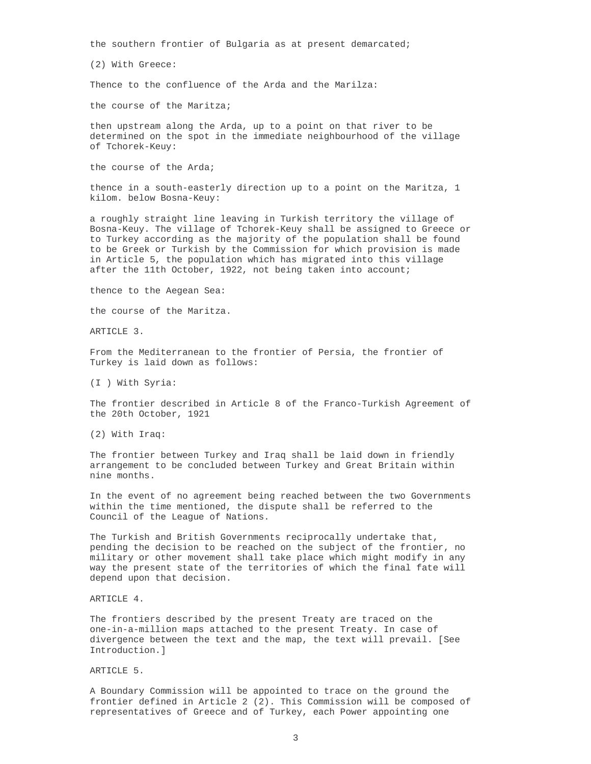the southern frontier of Bulgaria as at present demarcated;

(2) With Greece:

Thence to the confluence of the Arda and the Marilza:

the course of the Maritza;

then upstream along the Arda, up to a point on that river to be determined on the spot in the immediate neighbourhood of the village of Tchorek-Keuy:

the course of the Arda;

thence in a south-easterly direction up to a point on the Maritza, 1 kilom. below Bosna-Keuy:

a roughly straight line leaving in Turkish territory the village of Bosna-Keuy. The village of Tchorek-Keuy shall be assigned to Greece or to Turkey according as the majority of the population shall be found to be Greek or Turkish by the Commission for which provision is made in Article 5, the population which has migrated into this village after the 11th October, 1922, not being taken into account;

thence to the Aegean Sea:

the course of the Maritza.

ARTICLE 3.

From the Mediterranean to the frontier of Persia, the frontier of Turkey is laid down as follows:

(I ) With Syria:

The frontier described in Article 8 of the Franco-Turkish Agreement of the 20th October, 1921

(2) With Iraq:

The frontier between Turkey and Iraq shall be laid down in friendly arrangement to be concluded between Turkey and Great Britain within nine months.

In the event of no agreement being reached between the two Governments within the time mentioned, the dispute shall be referred to the Council of the League of Nations.

The Turkish and British Governments reciprocally undertake that, pending the decision to be reached on the subject of the frontier, no military or other movement shall take place which might modify in any way the present state of the territories of which the final fate will depend upon that decision.

ARTICLE 4.

The frontiers described by the present Treaty are traced on the one-in-a-million maps attached to the present Treaty. In case of divergence between the text and the map, the text will prevail. [See Introduction.]

ARTICLE 5.

A Boundary Commission will be appointed to trace on the ground the frontier defined in Article 2 (2). This Commission will be composed of representatives of Greece and of Turkey, each Power appointing one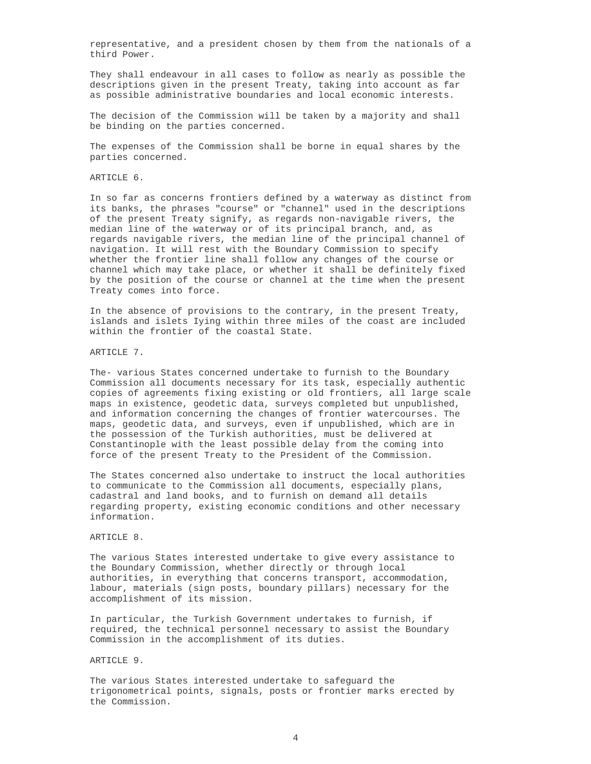representative, and a president chosen by them from the nationals of a third Power.

They shall endeavour in all cases to follow as nearly as possible the descriptions given in the present Treaty, taking into account as far as possible administrative boundaries and local economic interests.

The decision of the Commission will be taken by a majority and shall be binding on the parties concerned.

The expenses of the Commission shall be borne in equal shares by the parties concerned.

ARTICLE 6.

In so far as concerns frontiers defined by a waterway as distinct from its banks, the phrases "course" or "channel" used in the descriptions of the present Treaty signify, as regards non-navigable rivers, the median line of the waterway or of its principal branch, and, as regards navigable rivers, the median line of the principal channel of navigation. It will rest with the Boundary Commission to specify whether the frontier line shall follow any changes of the course or channel which may take place, or whether it shall be definitely fixed by the position of the course or channel at the time when the present Treaty comes into force.

In the absence of provisions to the contrary, in the present Treaty, islands and islets Iying within three miles of the coast are included within the frontier of the coastal State.

ARTICLE 7.

The- various States concerned undertake to furnish to the Boundary Commission all documents necessary for its task, especially authentic copies of agreements fixing existing or old frontiers, all large scale maps in existence, geodetic data, surveys completed but unpublished, and information concerning the changes of frontier watercourses. The maps, geodetic data, and surveys, even if unpublished, which are in the possession of the Turkish authorities, must be delivered at Constantinople with the least possible delay from the coming into force of the present Treaty to the President of the Commission.

The States concerned also undertake to instruct the local authorities to communicate to the Commission all documents, especially plans, cadastral and land books, and to furnish on demand all details regarding property, existing economic conditions and other necessary information.

### ARTICLE 8.

The various States interested undertake to give every assistance to the Boundary Commission, whether directly or through local authorities, in everything that concerns transport, accommodation, labour, materials (sign posts, boundary pillars) necessary for the accomplishment of its mission.

In particular, the Turkish Government undertakes to furnish, if required, the technical personnel necessary to assist the Boundary Commission in the accomplishment of its duties.

ARTICLE 9.

The various States interested undertake to safeguard the trigonometrical points, signals, posts or frontier marks erected by the Commission.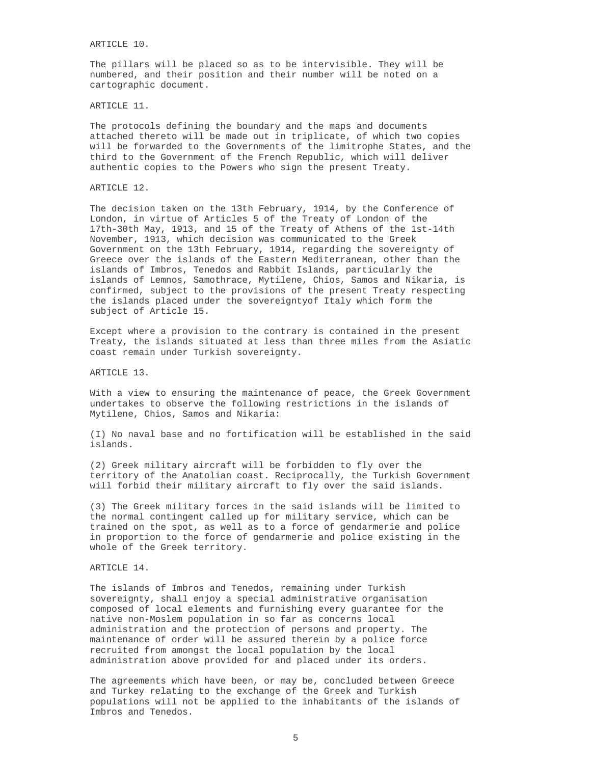ARTICLE 10.

The pillars will be placed so as to be intervisible. They will be numbered, and their position and their number will be noted on a cartographic document.

ARTICLE 11.

The protocols defining the boundary and the maps and documents attached thereto will be made out in triplicate, of which two copies will be forwarded to the Governments of the limitrophe States, and the third to the Government of the French Republic, which will deliver authentic copies to the Powers who sign the present Treaty.

#### ARTICLE 12.

The decision taken on the 13th February, 1914, by the Conference of London, in virtue of Articles 5 of the Treaty of London of the 17th-30th May, 1913, and 15 of the Treaty of Athens of the 1st-14th November, 1913, which decision was communicated to the Greek Government on the 13th February, 1914, regarding the sovereignty of Greece over the islands of the Eastern Mediterranean, other than the islands of Imbros, Tenedos and Rabbit Islands, particularly the islands of Lemnos, Samothrace, Mytilene, Chios, Samos and Nikaria, is confirmed, subject to the provisions of the present Treaty respecting the islands placed under the sovereigntyof Italy which form the subject of Article 15.

Except where a provision to the contrary is contained in the present Treaty, the islands situated at less than three miles from the Asiatic coast remain under Turkish sovereignty.

ARTICLE 13.

With a view to ensuring the maintenance of peace, the Greek Government undertakes to observe the following restrictions in the islands of Mytilene, Chios, Samos and Nikaria:

(I) No naval base and no fortification will be established in the said islands.

(2) Greek military aircraft will be forbidden to fly over the territory of the Anatolian coast. Reciprocally, the Turkish Government will forbid their military aircraft to fly over the said islands.

(3) The Greek military forces in the said islands will be limited to the normal contingent called up for military service, which can be trained on the spot, as well as to a force of gendarmerie and police in proportion to the force of gendarmerie and police existing in the whole of the Greek territory.

## ARTICLE 14.

The islands of Imbros and Tenedos, remaining under Turkish sovereignty, shall enjoy a special administrative organisation composed of local elements and furnishing every guarantee for the native non-Moslem population in so far as concerns local administration and the protection of persons and property. The maintenance of order will be assured therein by a police force recruited from amongst the local population by the local administration above provided for and placed under its orders.

The agreements which have been, or may be, concluded between Greece and Turkey relating to the exchange of the Greek and Turkish populations will not be applied to the inhabitants of the islands of Imbros and Tenedos.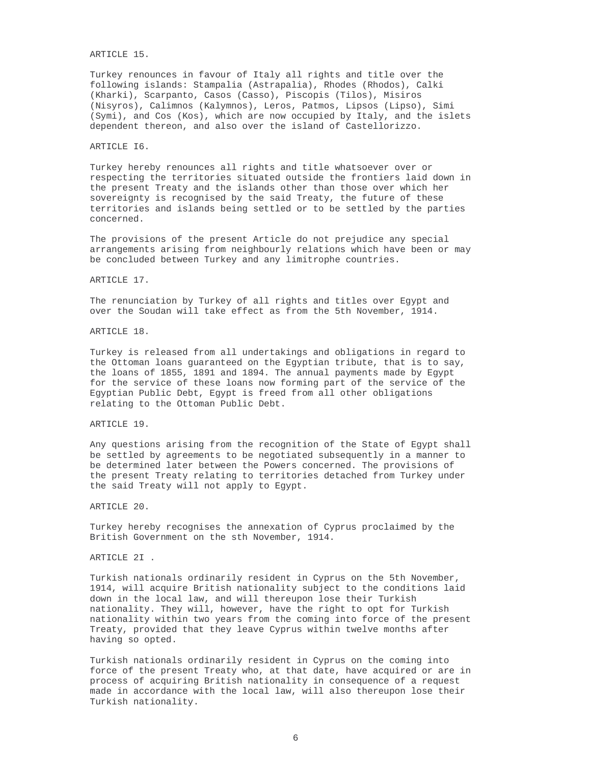### ARTICLE 15.

Turkey renounces in favour of Italy all rights and title over the following islands: Stampalia (Astrapalia), Rhodes (Rhodos), Calki (Kharki), Scarpanto, Casos (Casso), Piscopis (Tilos), Misiros (Nisyros), Calimnos (Kalymnos), Leros, Patmos, Lipsos (Lipso), Simi (Symi), and Cos (Kos), which are now occupied by Italy, and the islets dependent thereon, and also over the island of Castellorizzo.

#### ARTICLE I6.

Turkey hereby renounces all rights and title whatsoever over or respecting the territories situated outside the frontiers laid down in the present Treaty and the islands other than those over which her sovereignty is recognised by the said Treaty, the future of these territories and islands being settled or to be settled by the parties concerned.

The provisions of the present Article do not prejudice any special arrangements arising from neighbourly relations which have been or may be concluded between Turkey and any limitrophe countries.

### ARTICLE 17.

The renunciation by Turkey of all rights and titles over Egypt and over the Soudan will take effect as from the 5th November, 1914.

ARTICLE 18.

Turkey is released from all undertakings and obligations in regard to the Ottoman loans guaranteed on the Egyptian tribute, that is to say, the loans of 1855, 1891 and 1894. The annual payments made by Egypt for the service of these loans now forming part of the service of the Egyptian Public Debt, Egypt is freed from all other obligations relating to the Ottoman Public Debt.

## ARTICLE 19.

Any questions arising from the recognition of the State of Egypt shall be settled by agreements to be negotiated subsequently in a manner to be determined later between the Powers concerned. The provisions of the present Treaty relating to territories detached from Turkey under the said Treaty will not apply to Egypt.

ARTICLE 20.

Turkey hereby recognises the annexation of Cyprus proclaimed by the British Government on the sth November, 1914.

#### ARTICLE 2I .

Turkish nationals ordinarily resident in Cyprus on the 5th November, 1914, will acquire British nationality subject to the conditions laid down in the local law, and will thereupon lose their Turkish nationality. They will, however, have the right to opt for Turkish nationality within two years from the coming into force of the present Treaty, provided that they leave Cyprus within twelve months after having so opted.

Turkish nationals ordinarily resident in Cyprus on the coming into force of the present Treaty who, at that date, have acquired or are in process of acquiring British nationality in consequence of a request made in accordance with the local law, will also thereupon lose their Turkish nationality.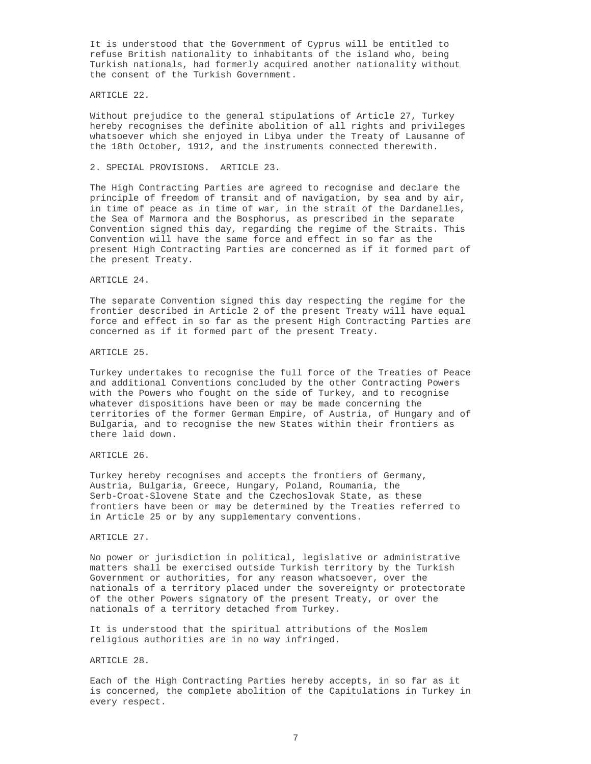It is understood that the Government of Cyprus will be entitled to refuse British nationality to inhabitants of the island who, being Turkish nationals, had formerly acquired another nationality without the consent of the Turkish Government.

## ARTICLE 22.

Without prejudice to the general stipulations of Article 27, Turkey hereby recognises the definite abolition of all rights and privileges whatsoever which she enjoyed in Libya under the Treaty of Lausanne of the 18th October, 1912, and the instruments connected therewith.

2. SPECIAL PROVISIONS. ARTICLE 23.

The High Contracting Parties are agreed to recognise and declare the principle of freedom of transit and of navigation, by sea and by air, in time of peace as in time of war, in the strait of the Dardanelles, the Sea of Marmora and the Bosphorus, as prescribed in the separate Convention signed this day, regarding the regime of the Straits. This Convention will have the same force and effect in so far as the present High Contracting Parties are concerned as if it formed part of the present Treaty.

## ARTICLE 24.

The separate Convention signed this day respecting the regime for the frontier described in Article 2 of the present Treaty will have equal force and effect in so far as the present High Contracting Parties are concerned as if it formed part of the present Treaty.

ARTICLE 25.

Turkey undertakes to recognise the full force of the Treaties of Peace and additional Conventions concluded by the other Contracting Powers with the Powers who fought on the side of Turkey, and to recognise whatever dispositions have been or may be made concerning the territories of the former German Empire, of Austria, of Hungary and of Bulgaria, and to recognise the new States within their frontiers as there laid down.

### ARTICLE 26.

Turkey hereby recognises and accepts the frontiers of Germany, Austria, Bulgaria, Greece, Hungary, Poland, Roumania, the Serb-Croat-Slovene State and the Czechoslovak State, as these frontiers have been or may be determined by the Treaties referred to in Article 25 or by any supplementary conventions.

### ARTICLE 27.

No power or jurisdiction in political, legislative or administrative matters shall be exercised outside Turkish territory by the Turkish Government or authorities, for any reason whatsoever, over the nationals of a territory placed under the sovereignty or protectorate of the other Powers signatory of the present Treaty, or over the nationals of a territory detached from Turkey.

It is understood that the spiritual attributions of the Moslem religious authorities are in no way infringed.

## ARTICLE 28.

Each of the High Contracting Parties hereby accepts, in so far as it is concerned, the complete abolition of the Capitulations in Turkey in every respect.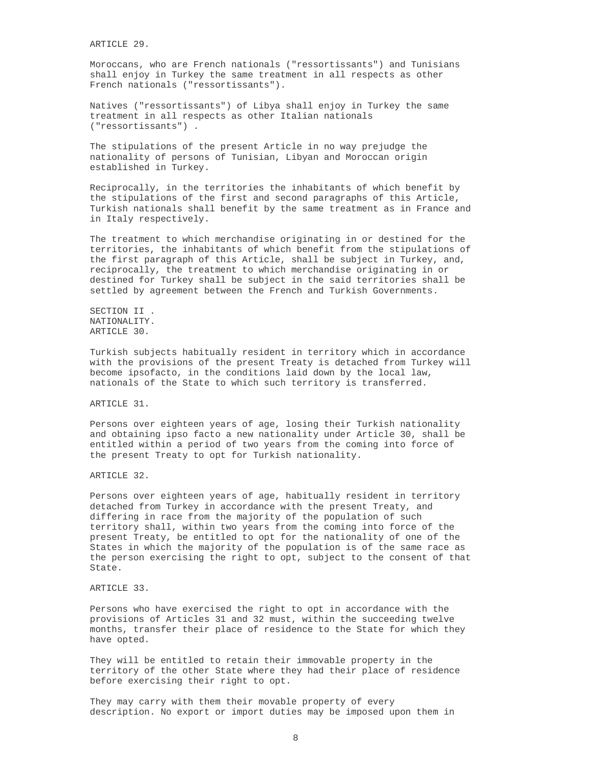ARTICLE 29.

Moroccans, who are French nationals ("ressortissants") and Tunisians shall enjoy in Turkey the same treatment in all respects as other French nationals ("ressortissants").

Natives ("ressortissants") of Libya shall enjoy in Turkey the same treatment in all respects as other Italian nationals ("ressortissants") .

The stipulations of the present Article in no way prejudge the nationality of persons of Tunisian, Libyan and Moroccan origin established in Turkey.

Reciprocally, in the territories the inhabitants of which benefit by the stipulations of the first and second paragraphs of this Article, Turkish nationals shall benefit by the same treatment as in France and in Italy respectively.

The treatment to which merchandise originating in or destined for the territories, the inhabitants of which benefit from the stipulations of the first paragraph of this Article, shall be subject in Turkey, and, reciprocally, the treatment to which merchandise originating in or destined for Turkey shall be subject in the said territories shall be settled by agreement between the French and Turkish Governments.

SECTION II . NATIONALITY. ARTICLE 30.

Turkish subjects habitually resident in territory which in accordance with the provisions of the present Treaty is detached from Turkey will become ipsofacto, in the conditions laid down by the local law, nationals of the State to which such territory is transferred.

ARTICLE 31.

Persons over eighteen years of age, losing their Turkish nationality and obtaining ipso facto a new nationality under Article 30, shall be entitled within a period of two years from the coming into force of the present Treaty to opt for Turkish nationality.

ARTICLE 32.

Persons over eighteen years of age, habitually resident in territory detached from Turkey in accordance with the present Treaty, and differing in race from the majority of the population of such territory shall, within two years from the coming into force of the present Treaty, be entitled to opt for the nationality of one of the States in which the majority of the population is of the same race as the person exercising the right to opt, subject to the consent of that State.

ARTICLE 33.

Persons who have exercised the right to opt in accordance with the provisions of Articles 31 and 32 must, within the succeeding twelve months, transfer their place of residence to the State for which they have opted.

They will be entitled to retain their immovable property in the territory of the other State where they had their place of residence before exercising their right to opt.

They may carry with them their movable property of every description. No export or import duties may be imposed upon them in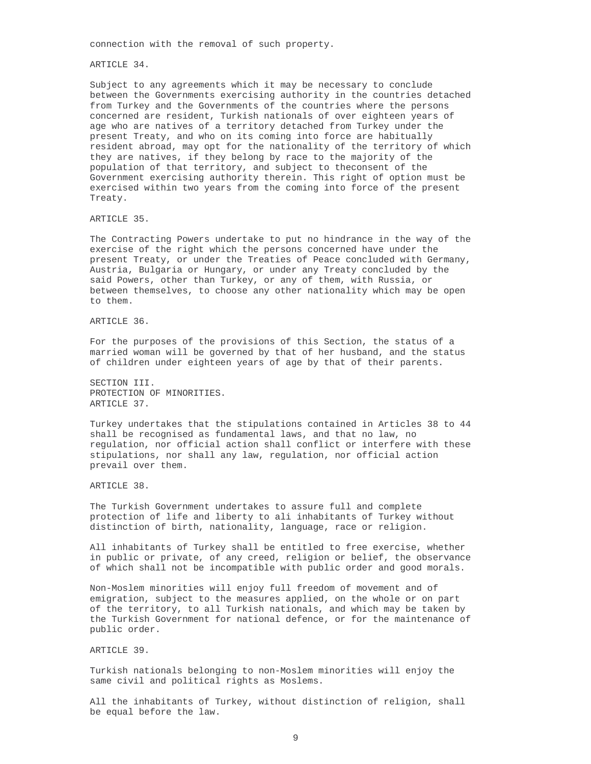connection with the removal of such property.

ARTICLE 34.

Subject to any agreements which it may be necessary to conclude between the Governments exercising authority in the countries detached from Turkey and the Governments of the countries where the persons concerned are resident, Turkish nationals of over eighteen years of age who are natives of a territory detached from Turkey under the present Treaty, and who on its coming into force are habitually resident abroad, may opt for the nationality of the territory of which they are natives, if they belong by race to the majority of the population of that territory, and subject to theconsent of the Government exercising authority therein. This right of option must be exercised within two years from the coming into force of the present Treaty.

ARTICLE 35.

The Contracting Powers undertake to put no hindrance in the way of the exercise of the right which the persons concerned have under the present Treaty, or under the Treaties of Peace concluded with Germany, Austria, Bulgaria or Hungary, or under any Treaty concluded by the said Powers, other than Turkey, or any of them, with Russia, or between themselves, to choose any other nationality which may be open to them.

ARTICLE 36.

For the purposes of the provisions of this Section, the status of a married woman will be governed by that of her husband, and the status of children under eighteen years of age by that of their parents.

SECTION III. PROTECTION OF MINORITIES. ARTICLE 37.

Turkey undertakes that the stipulations contained in Articles 38 to 44 shall be recognised as fundamental laws, and that no law, no regulation, nor official action shall conflict or interfere with these stipulations, nor shall any law, regulation, nor official action prevail over them.

ARTICLE 38.

The Turkish Government undertakes to assure full and complete protection of life and liberty to ali inhabitants of Turkey without distinction of birth, nationality, language, race or religion.

All inhabitants of Turkey shall be entitled to free exercise, whether in public or private, of any creed, religion or belief, the observance of which shall not be incompatible with public order and good morals.

Non-Moslem minorities will enjoy full freedom of movement and of emigration, subject to the measures applied, on the whole or on part of the territory, to all Turkish nationals, and which may be taken by the Turkish Government for national defence, or for the maintenance of public order.

ARTICLE 39.

Turkish nationals belonging to non-Moslem minorities will enjoy the same civil and political rights as Moslems.

All the inhabitants of Turkey, without distinction of religion, shall be equal before the law.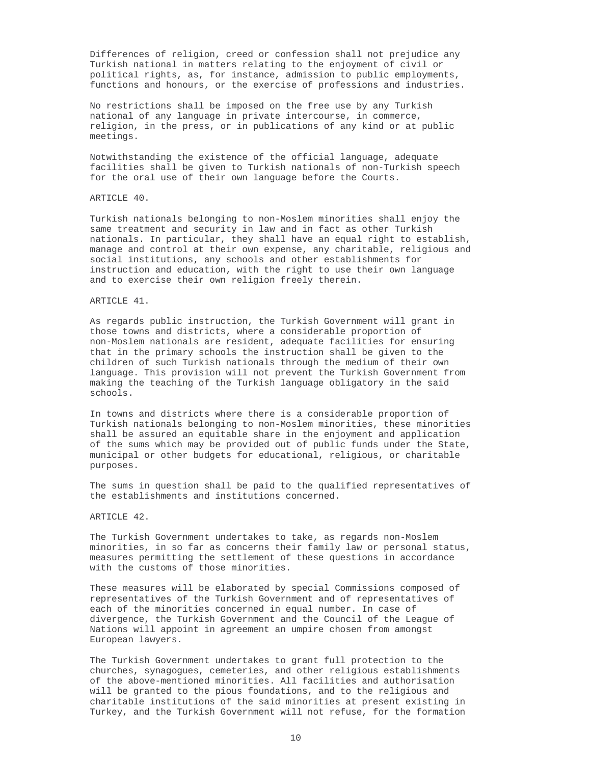Differences of religion, creed or confession shall not prejudice any Turkish national in matters relating to the enjoyment of civil or political rights, as, for instance, admission to public employments, functions and honours, or the exercise of professions and industries.

No restrictions shall be imposed on the free use by any Turkish national of any language in private intercourse, in commerce, religion, in the press, or in publications of any kind or at public meetings.

Notwithstanding the existence of the official language, adequate facilities shall be given to Turkish nationals of non-Turkish speech for the oral use of their own language before the Courts.

ARTICLE 40.

Turkish nationals belonging to non-Moslem minorities shall enjoy the same treatment and security in law and in fact as other Turkish nationals. In particular, they shall have an equal right to establish, manage and control at their own expense, any charitable, religious and social institutions, any schools and other establishments for instruction and education, with the right to use their own language and to exercise their own religion freely therein.

### ARTICLE 41.

As regards public instruction, the Turkish Government will grant in those towns and districts, where a considerable proportion of non-Moslem nationals are resident, adequate facilities for ensuring that in the primary schools the instruction shall be given to the children of such Turkish nationals through the medium of their own language. This provision will not prevent the Turkish Government from making the teaching of the Turkish language obligatory in the said schools.

In towns and districts where there is a considerable proportion of Turkish nationals belonging to non-Moslem minorities, these minorities shall be assured an equitable share in the enjoyment and application of the sums which may be provided out of public funds under the State, municipal or other budgets for educational, religious, or charitable purposes.

The sums in question shall be paid to the qualified representatives of the establishments and institutions concerned.

ARTICLE 42.

The Turkish Government undertakes to take, as regards non-Moslem minorities, in so far as concerns their family law or personal status, measures permitting the settlement of these questions in accordance with the customs of those minorities.

These measures will be elaborated by special Commissions composed of representatives of the Turkish Government and of representatives of each of the minorities concerned in equal number. In case of divergence, the Turkish Government and the Council of the League of Nations will appoint in agreement an umpire chosen from amongst European lawyers.

The Turkish Government undertakes to grant full protection to the churches, synagogues, cemeteries, and other religious establishments of the above-mentioned minorities. All facilities and authorisation will be granted to the pious foundations, and to the religious and charitable institutions of the said minorities at present existing in Turkey, and the Turkish Government will not refuse, for the formation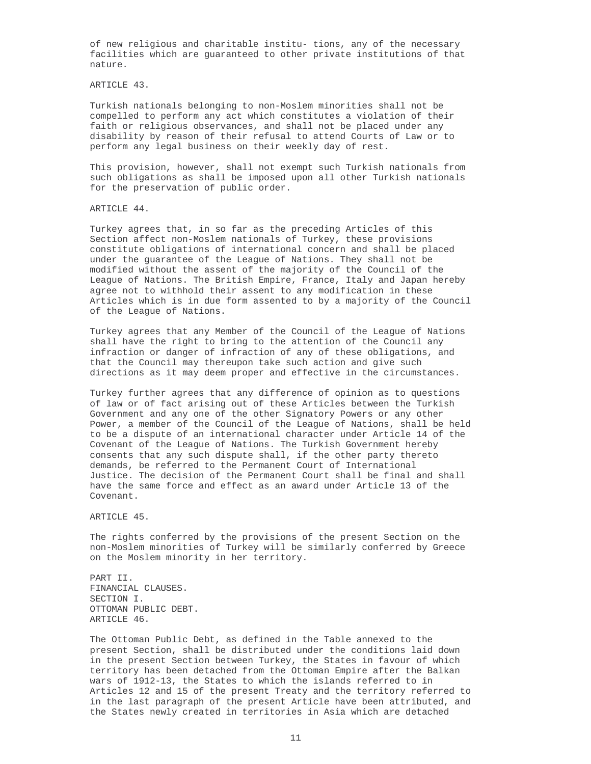of new religious and charitable institu- tions, any of the necessary facilities which are guaranteed to other private institutions of that nature.

ARTICLE 43.

Turkish nationals belonging to non-Moslem minorities shall not be compelled to perform any act which constitutes a violation of their faith or religious observances, and shall not be placed under any disability by reason of their refusal to attend Courts of Law or to perform any legal business on their weekly day of rest.

This provision, however, shall not exempt such Turkish nationals from such obligations as shall be imposed upon all other Turkish nationals for the preservation of public order.

ARTICLE 44.

Turkey agrees that, in so far as the preceding Articles of this Section affect non-Moslem nationals of Turkey, these provisions constitute obligations of international concern and shall be placed under the guarantee of the League of Nations. They shall not be modified without the assent of the majority of the Council of the League of Nations. The British Empire, France, Italy and Japan hereby agree not to withhold their assent to any modification in these Articles which is in due form assented to by a majority of the Council of the League of Nations.

Turkey agrees that any Member of the Council of the League of Nations shall have the right to bring to the attention of the Council any infraction or danger of infraction of any of these obligations, and that the Council may thereupon take such action and give such directions as it may deem proper and effective in the circumstances.

Turkey further agrees that any difference of opinion as to questions of law or of fact arising out of these Articles between the Turkish Government and any one of the other Signatory Powers or any other Power, a member of the Council of the League of Nations, shall be held to be a dispute of an international character under Article 14 of the Covenant of the League of Nations. The Turkish Government hereby consents that any such dispute shall, if the other party thereto demands, be referred to the Permanent Court of International Justice. The decision of the Permanent Court shall be final and shall have the same force and effect as an award under Article 13 of the Covenant.

ARTICLE 45.

The rights conferred by the provisions of the present Section on the non-Moslem minorities of Turkey will be similarly conferred by Greece on the Moslem minority in her territory.

PART II. FINANCIAL CLAUSES. SECTION I. OTTOMAN PUBLIC DEBT. ARTICLE 46.

The Ottoman Public Debt, as defined in the Table annexed to the present Section, shall be distributed under the conditions laid down in the present Section between Turkey, the States in favour of which territory has been detached from the Ottoman Empire after the Balkan wars of 1912-13, the States to which the islands referred to in Articles 12 and 15 of the present Treaty and the territory referred to in the last paragraph of the present Article have been attributed, and the States newly created in territories in Asia which are detached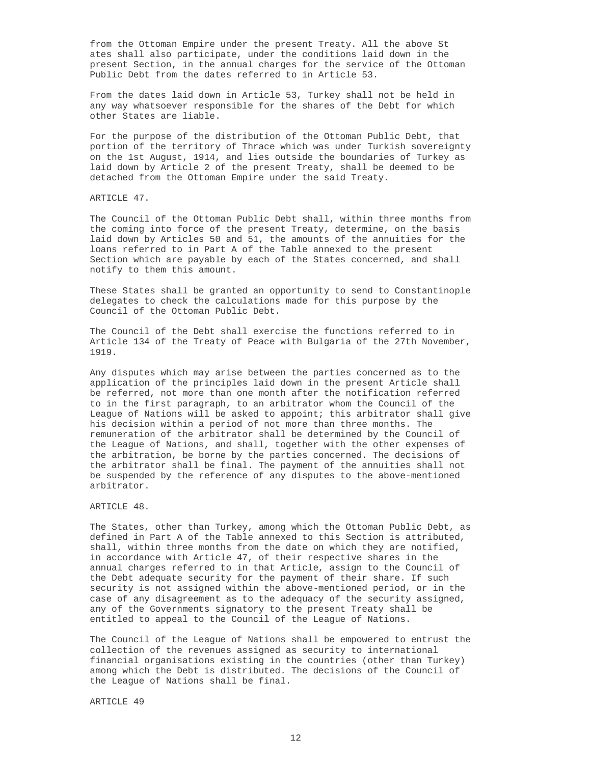from the Ottoman Empire under the present Treaty. All the above St ates shall also participate, under the conditions laid down in the present Section, in the annual charges for the service of the Ottoman Public Debt from the dates referred to in Article 53.

From the dates laid down in Article 53, Turkey shall not be held in any way whatsoever responsible for the shares of the Debt for which other States are liable.

For the purpose of the distribution of the Ottoman Public Debt, that portion of the territory of Thrace which was under Turkish sovereignty on the 1st August, 1914, and lies outside the boundaries of Turkey as laid down by Article 2 of the present Treaty, shall be deemed to be detached from the Ottoman Empire under the said Treaty.

ARTICLE 47.

The Council of the Ottoman Public Debt shall, within three months from the coming into force of the present Treaty, determine, on the basis laid down by Articles 50 and 51, the amounts of the annuities for the loans referred to in Part A of the Table annexed to the present Section which are payable by each of the States concerned, and shall notify to them this amount.

These States shall be granted an opportunity to send to Constantinople delegates to check the calculations made for this purpose by the Council of the Ottoman Public Debt.

The Council of the Debt shall exercise the functions referred to in Article 134 of the Treaty of Peace with Bulgaria of the 27th November, 1919.

Any disputes which may arise between the parties concerned as to the application of the principles laid down in the present Article shall be referred, not more than one month after the notification referred to in the first paragraph, to an arbitrator whom the Council of the League of Nations will be asked to appoint; this arbitrator shall give his decision within a period of not more than three months. The remuneration of the arbitrator shall be determined by the Council of the League of Nations, and shall, together with the other expenses of the arbitration, be borne by the parties concerned. The decisions of the arbitrator shall be final. The payment of the annuities shall not be suspended by the reference of any disputes to the above-mentioned arbitrator.

ARTICLE 48.

The States, other than Turkey, among which the Ottoman Public Debt, as defined in Part A of the Table annexed to this Section is attributed, shall, within three months from the date on which they are notified, in accordance with Article 47, of their respective shares in the annual charges referred to in that Article, assign to the Council of the Debt adequate security for the payment of their share. If such security is not assigned within the above-mentioned period, or in the case of any disagreement as to the adequacy of the security assigned, any of the Governments signatory to the present Treaty shall be entitled to appeal to the Council of the League of Nations.

The Council of the League of Nations shall be empowered to entrust the collection of the revenues assigned as security to international financial organisations existing in the countries (other than Turkey) among which the Debt is distributed. The decisions of the Council of the League of Nations shall be final.

ARTICLE 49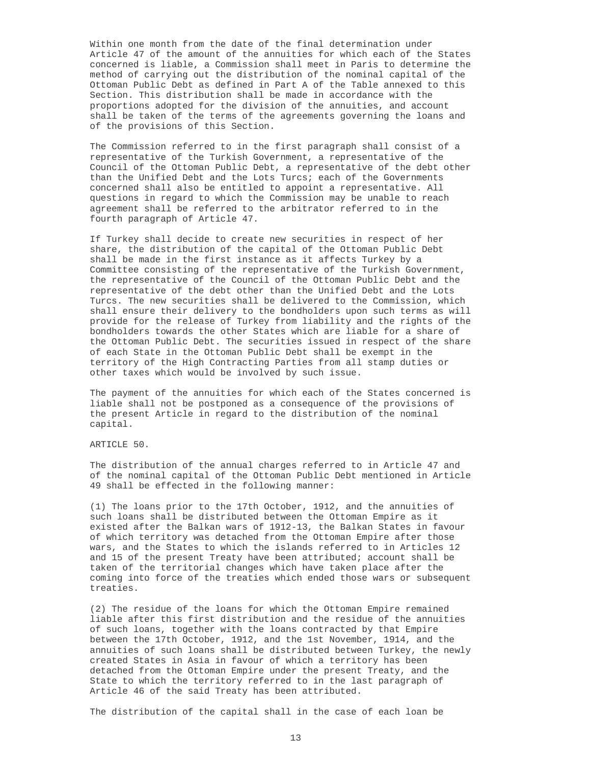Within one month from the date of the final determination under Article 47 of the amount of the annuities for which each of the States concerned is liable, a Commission shall meet in Paris to determine the method of carrying out the distribution of the nominal capital of the Ottoman Public Debt as defined in Part A of the Table annexed to this Section. This distribution shall be made in accordance with the proportions adopted for the division of the annuities, and account shall be taken of the terms of the agreements governing the loans and of the provisions of this Section.

The Commission referred to in the first paragraph shall consist of a representative of the Turkish Government, a representative of the Council of the Ottoman Public Debt, a representative of the debt other than the Unified Debt and the Lots Turcs; each of the Governments concerned shall also be entitled to appoint a representative. All questions in regard to which the Commission may be unable to reach agreement shall be referred to the arbitrator referred to in the fourth paragraph of Article 47.

If Turkey shall decide to create new securities in respect of her share, the distribution of the capital of the Ottoman Public Debt shall be made in the first instance as it affects Turkey by a Committee consisting of the representative of the Turkish Government, the representative of the Council of the Ottoman Public Debt and the representative of the debt other than the Unified Debt and the Lots Turcs. The new securities shall be delivered to the Commission, which shall ensure their delivery to the bondholders upon such terms as will provide for the release of Turkey from liability and the rights of the bondholders towards the other States which are liable for a share of the Ottoman Public Debt. The securities issued in respect of the share of each State in the Ottoman Public Debt shall be exempt in the territory of the High Contracting Parties from all stamp duties or other taxes which would be involved by such issue.

The payment of the annuities for which each of the States concerned is liable shall not be postponed as a consequence of the provisions of the present Article in regard to the distribution of the nominal capital.

## ARTICLE 50.

The distribution of the annual charges referred to in Article 47 and of the nominal capital of the Ottoman Public Debt mentioned in Article 49 shall be effected in the following manner:

(1) The loans prior to the 17th October, 1912, and the annuities of such loans shall be distributed between the Ottoman Empire as it existed after the Balkan wars of 1912-13, the Balkan States in favour of which territory was detached from the Ottoman Empire after those wars, and the States to which the islands referred to in Articles 12 and 15 of the present Treaty have been attributed; account shall be taken of the territorial changes which have taken place after the coming into force of the treaties which ended those wars or subsequent treaties.

(2) The residue of the loans for which the Ottoman Empire remained liable after this first distribution and the residue of the annuities of such loans, together with the loans contracted by that Empire between the 17th October, 1912, and the 1st November, 1914, and the annuities of such loans shall be distributed between Turkey, the newly created States in Asia in favour of which a territory has been detached from the Ottoman Empire under the present Treaty, and the State to which the territory referred to in the last paragraph of Article 46 of the said Treaty has been attributed.

The distribution of the capital shall in the case of each loan be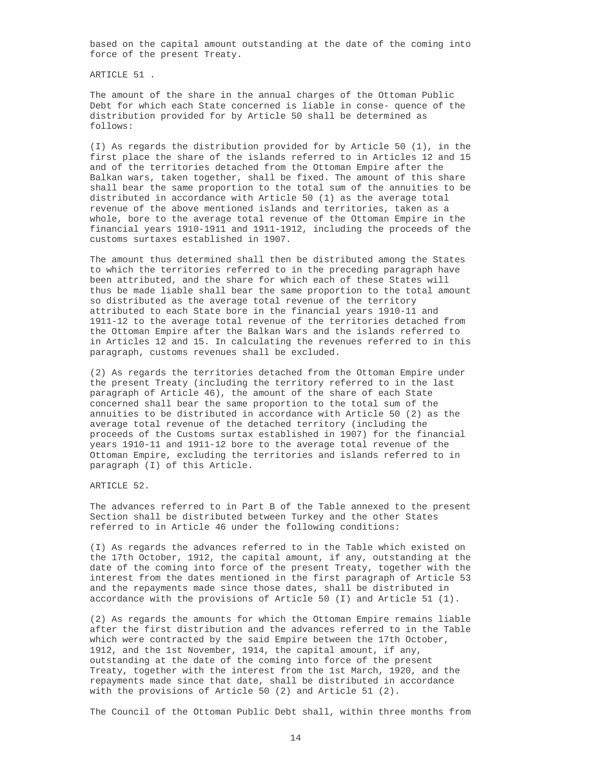based on the capital amount outstanding at the date of the coming into force of the present Treaty.

ARTICLE 51 .

The amount of the share in the annual charges of the Ottoman Public Debt for which each State concerned is liable in conse- quence of the distribution provided for by Article 50 shall be determined as follows:

(I) As regards the distribution provided for by Article 50 (1), in the first place the share of the islands referred to in Articles 12 and 15 and of the territories detached from the Ottoman Empire after the Balkan wars, taken together, shall be fixed. The amount of this share shall bear the same proportion to the total sum of the annuities to be distributed in accordance with Article 50 (1) as the average total revenue of the above mentioned islands and territories, taken as a whole, bore to the average total revenue of the Ottoman Empire in the financial years 1910-1911 and 1911-1912, including the proceeds of the customs surtaxes established in 1907.

The amount thus determined shall then be distributed among the States to which the territories referred to in the preceding paragraph have been attributed, and the share for which each of these States will thus be made liable shall bear the same proportion to the total amount so distributed as the average total revenue of the territory attributed to each State bore in the financial years 1910-11 and 1911-12 to the average total revenue of the territories detached from the Ottoman Empire after the Balkan Wars and the islands referred to in Articles 12 and 15. In calculating the revenues referred to in this paragraph, customs revenues shall be excluded.

(2) As regards the territories detached from the Ottoman Empire under the present Treaty (including the territory referred to in the last paragraph of Article 46), the amount of the share of each State concerned shall bear the same proportion to the total sum of the annuities to be distributed in accordance with Article 50 (2) as the average total revenue of the detached territory (including the proceeds of the Customs surtax established in 1907) for the financial years 1910-11 and 1911-12 bore to the average total revenue of the Ottoman Empire, excluding the territories and islands referred to in paragraph (I) of this Article.

ARTICLE 52.

The advances referred to in Part B of the Table annexed to the present Section shall be distributed between Turkey and the other States referred to in Article 46 under the following conditions:

(I) As regards the advances referred to in the Table which existed on the 17th October, 1912, the capital amount, if any, outstanding at the date of the coming into force of the present Treaty, together with the interest from the dates mentioned in the first paragraph of Article 53 and the repayments made since those dates, shall be distributed in accordance with the provisions of Article 50 (I) and Article 51 (1).

(2) As regards the amounts for which the Ottoman Empire remains liable after the first distribution and the advances referred to in the Table which were contracted by the said Empire between the 17th October, 1912, and the 1st November, 1914, the capital amount, if any, outstanding at the date of the coming into force of the present Treaty, together with the interest from the 1st March, 1920, and the repayments made since that date, shall be distributed in accordance with the provisions of Article 50 (2) and Article 51 (2).

The Council of the Ottoman Public Debt shall, within three months from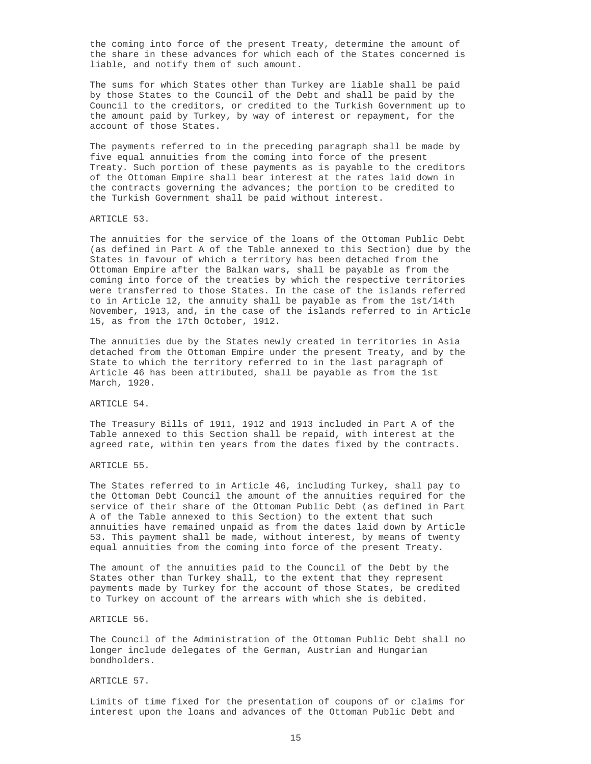the coming into force of the present Treaty, determine the amount of the share in these advances for which each of the States concerned is liable, and notify them of such amount.

The sums for which States other than Turkey are liable shall be paid by those States to the Council of the Debt and shall be paid by the Council to the creditors, or credited to the Turkish Government up to the amount paid by Turkey, by way of interest or repayment, for the account of those States.

The payments referred to in the preceding paragraph shall be made by five equal annuities from the coming into force of the present Treaty. Such portion of these payments as is payable to the creditors of the Ottoman Empire shall bear interest at the rates laid down in the contracts governing the advances; the portion to be credited to the Turkish Government shall be paid without interest.

ARTICLE 53.

The annuities for the service of the loans of the Ottoman Public Debt (as defined in Part A of the Table annexed to this Section) due by the States in favour of which a territory has been detached from the Ottoman Empire after the Balkan wars, shall be payable as from the coming into force of the treaties by which the respective territories were transferred to those States. In the case of the islands referred to in Article 12, the annuity shall be payable as from the 1st/14th November, 1913, and, in the case of the islands referred to in Article 15, as from the 17th October, 1912.

The annuities due by the States newly created in territories in Asia detached from the Ottoman Empire under the present Treaty, and by the State to which the territory referred to in the last paragraph of Article 46 has been attributed, shall be payable as from the 1st March, 1920.

ARTICLE 54.

The Treasury Bills of 1911, 1912 and 1913 included in Part A of the Table annexed to this Section shall be repaid, with interest at the agreed rate, within ten years from the dates fixed by the contracts.

ARTICLE 55.

The States referred to in Article 46, including Turkey, shall pay to the Ottoman Debt Council the amount of the annuities required for the service of their share of the Ottoman Public Debt (as defined in Part A of the Table annexed to this Section) to the extent that such annuities have remained unpaid as from the dates laid down by Article 53. This payment shall be made, without interest, by means of twenty equal annuities from the coming into force of the present Treaty.

The amount of the annuities paid to the Council of the Debt by the States other than Turkey shall, to the extent that they represent payments made by Turkey for the account of those States, be credited to Turkey on account of the arrears with which she is debited.

ARTICLE 56.

The Council of the Administration of the Ottoman Public Debt shall no longer include delegates of the German, Austrian and Hungarian bondholders.

ARTICLE 57.

Limits of time fixed for the presentation of coupons of or claims for interest upon the loans and advances of the Ottoman Public Debt and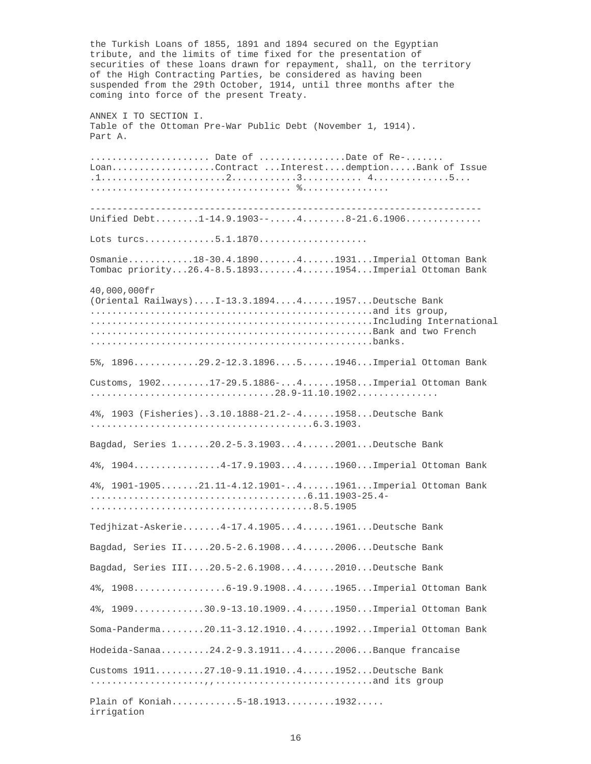the Turkish Loans of 1855, 1891 and 1894 secured on the Egyptian tribute, and the limits of time fixed for the presentation of securities of these loans drawn for repayment, shall, on the territory of the High Contracting Parties, be considered as having been suspended from the 29th October, 1914, until three months after the coming into force of the present Treaty. ANNEX I TO SECTION I. Table of the Ottoman Pre-War Public Debt (November 1, 1914). Part A. ...........................Date of .........................Date of Re-........ Loan...................Contract ...Interest....demption.....Bank of Issue .1.......................2............3........... 4..............5... ..................................... %................ ------------------------------------------------------------------------ Unified Debt........1-14.9.1903--.....4.........8-21.6.1906...................... Lots turcs.............5.1.1870.................... Osmanie............18-30.4.1890.......4......1931...Imperial Ottoman Bank Tombac priority...26.4-8.5.1893.......4......1954...Imperial Ottoman Bank 40,000,000fr (Oriental Railways)....I-13.3.1894....4......1957...Deutsche Bank ....................................................and its group, ....................................................Including International ....................................................Bank and two French ....................................................banks. 5%, 1896............29.2-12.3.1896....5......1946...Imperial Ottoman Bank Customs, 1902.........17-29.5.1886-...4......1958...Imperial Ottoman Bank ..................................28.9-11.10.1902............... 4%, 1903 (Fisheries)..3.10.1888-21.2-.4......1958...Deutsche Bank .........................................6.3.1903. Bagdad, Series 1......20.2-5.3.1903...4......2001...Deutsche Bank 4%, 1904................4-17.9.1903...4......1960...Imperial Ottoman Bank 4%, 1901-1905.......21.11-4.12.1901-..4......1961...Imperial Ottoman Bank ........................................6.11.1903-25.4- .........................................8.5.1905 Tedjhizat-Askerie.......4-17.4.1905...4......1961...Deutsche Bank Bagdad, Series II.....20.5-2.6.1908...4......2006...Deutsche Bank Bagdad, Series III....20.5-2.6.1908...4......2010...Deutsche Bank 4%, 1908.................6-19.9.1908..4......1965...Imperial Ottoman Bank 4%, 1909.............30.9-13.10.1909..4......1950...Imperial Ottoman Bank Soma-Panderma........20.11-3.12.1910..4......1992...Imperial Ottoman Bank Hodeida-Sanaa.........24.2-9.3.1911...4......2006...Banque francaise Customs 1911.........27.10-9.11.1910..4......1952...Deutsche Bank .....................,,.............................and its group Plain of Koniah............5-18.1913..........1932..... irrigation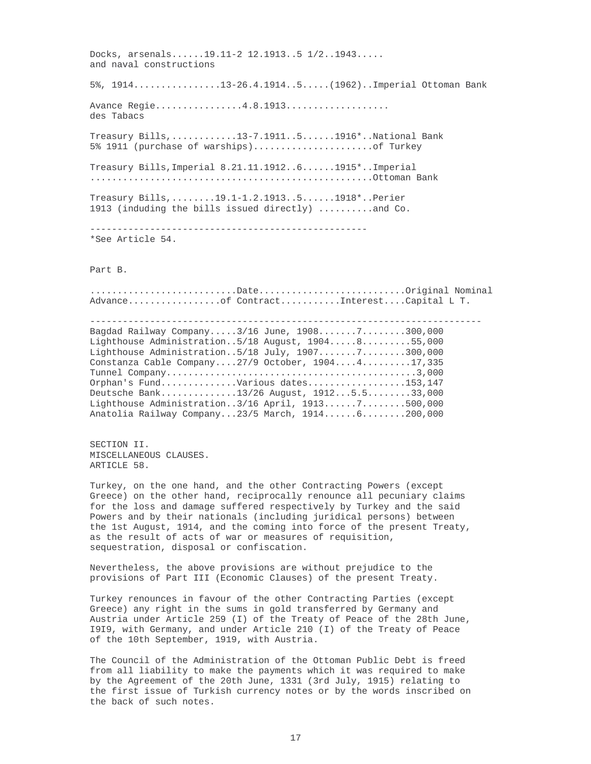Docks, arsenals......19.11-2 12.1913..5 1/2..1943..... and naval constructions 5%, 1914................13-26.4.1914..5.....(1962)..Imperial Ottoman Bank Avance Regie................4.8.1913................... des Tabacs Treasury Bills,............13-7.1911..5......1916\*..National Bank 5% 1911 (purchase of warships)......................of Turkey Treasury Bills,Imperial 8.21.11.1912..6......1915\*..Imperial ....................................................Ottoman Bank Treasury Bills,........19.1-1.2.1913..5......1918\*..Perier 1913 (induding the bills issued directly) ..........and Co. --------------------------------------------------- \*See Article 54. Part B. ...........................Date...........................Original Nominal Advance.................of Contract...........Interest....Capital L T. ------------------------------------------------------------------------ Bagdad Railway Company.....3/16 June, 1908.......7........300,000 Lighthouse Administration..5/18 August, 1904.....8.........55,000 Lighthouse Administration..5/18 July, 1907.......7........300,000 Constanza Cable Company....27/9 October, 1904....4.........17,335 Tunnel Company..............................................3,000 Orphan's Fund..............Various dates..................153,147 Deutsche Bank..............13/26 August, 1912...5.5........33,000 Lighthouse Administration..3/16 April, 1913......7........500,000 Anatolia Railway Company...23/5 March, 1914......6........200,000 SECTION II. MISCELLANEOUS CLAUSES. ARTICLE 58. Turkey, on the one hand, and the other Contracting Powers (except Greece) on the other hand, reciprocally renounce all pecuniary claims for the loss and damage suffered respectively by Turkey and the said Powers and by their nationals (including juridical persons) between the 1st August, 1914, and the coming into force of the present Treaty, as the result of acts of war or measures of requisition, sequestration, disposal or confiscation.

Nevertheless, the above provisions are without prejudice to the provisions of Part III (Economic Clauses) of the present Treaty.

Turkey renounces in favour of the other Contracting Parties (except Greece) any right in the sums in gold transferred by Germany and Austria under Article 259 (I) of the Treaty of Peace of the 28th June, I9I9, with Germany, and under Article 210 (I) of the Treaty of Peace of the 10th September, 1919, with Austria.

The Council of the Administration of the Ottoman Public Debt is freed from all liability to make the payments which it was required to make by the Agreement of the 20th June, 1331 (3rd July, 1915) relating to the first issue of Turkish currency notes or by the words inscribed on the back of such notes.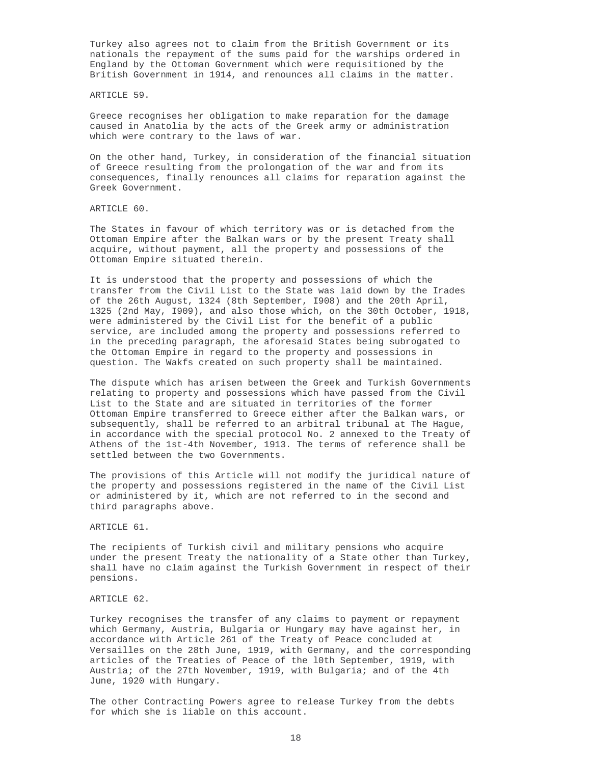Turkey also agrees not to claim from the British Government or its nationals the repayment of the sums paid for the warships ordered in England by the Ottoman Government which were requisitioned by the British Government in 1914, and renounces all claims in the matter.

ARTICLE 59.

Greece recognises her obligation to make reparation for the damage caused in Anatolia by the acts of the Greek army or administration which were contrary to the laws of war.

On the other hand, Turkey, in consideration of the financial situation of Greece resulting from the prolongation of the war and from its consequences, finally renounces all claims for reparation against the Greek Government.

ARTICLE 60.

The States in favour of which territory was or is detached from the Ottoman Empire after the Balkan wars or by the present Treaty shall acquire, without payment, all the property and possessions of the Ottoman Empire situated therein.

It is understood that the property and possessions of which the transfer from the Civil List to the State was laid down by the Irades of the 26th August, 1324 (8th September, I908) and the 20th April, 1325 (2nd May, I909), and also those which, on the 30th October, 1918, were administered by the Civil List for the benefit of a public service, are included among the property and possessions referred to in the preceding paragraph, the aforesaid States being subrogated to the Ottoman Empire in regard to the property and possessions in question. The Wakfs created on such property shall be maintained.

The dispute which has arisen between the Greek and Turkish Governments relating to property and possessions which have passed from the Civil List to the State and are situated in territories of the former Ottoman Empire transferred to Greece either after the Balkan wars, or subsequently, shall be referred to an arbitral tribunal at The Hague, in accordance with the special protocol No. 2 annexed to the Treaty of Athens of the 1st-4th November, 1913. The terms of reference shall be settled between the two Governments.

The provisions of this Article will not modify the juridical nature of the property and possessions registered in the name of the Civil List or administered by it, which are not referred to in the second and third paragraphs above.

ARTICLE 61.

The recipients of Turkish civil and military pensions who acquire under the present Treaty the nationality of a State other than Turkey, shall have no claim against the Turkish Government in respect of their pensions.

ARTICLE 62.

Turkey recognises the transfer of any claims to payment or repayment which Germany, Austria, Bulgaria or Hungary may have against her, in accordance with Article 261 of the Treaty of Peace concluded at Versailles on the 28th June, 1919, with Germany, and the corresponding articles of the Treaties of Peace of the l0th September, 1919, with Austria; of the 27th November, 1919, with Bulgaria; and of the 4th June, 1920 with Hungary.

The other Contracting Powers agree to release Turkey from the debts for which she is liable on this account.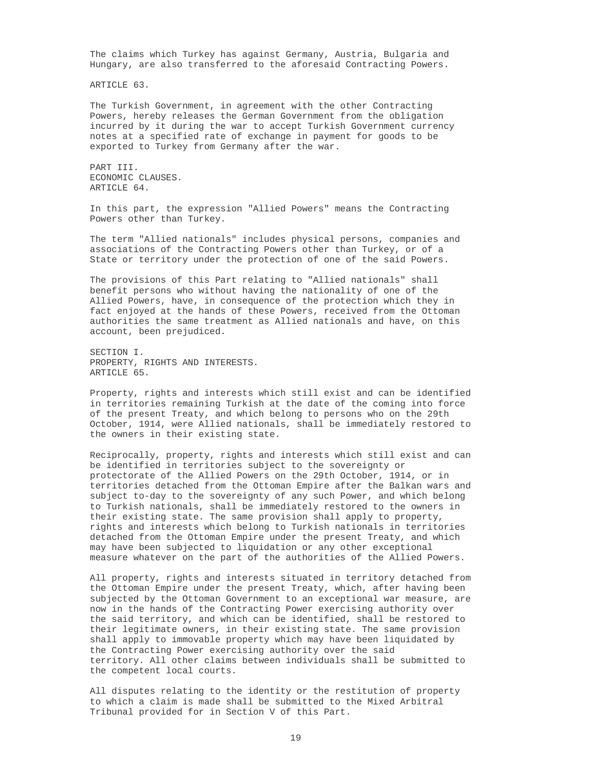The claims which Turkey has against Germany, Austria, Bulgaria and Hungary, are also transferred to the aforesaid Contracting Powers.

ARTICLE 63.

The Turkish Government, in agreement with the other Contracting Powers, hereby releases the German Government from the obligation incurred by it during the war to accept Turkish Government currency notes at a specified rate of exchange in payment for goods to be exported to Turkey from Germany after the war.

PART III. ECONOMIC CLAUSES. ARTICLE 64.

In this part, the expression "Allied Powers" means the Contracting Powers other than Turkey.

The term "Allied nationals" includes physical persons, companies and associations of the Contracting Powers other than Turkey, or of a State or territory under the protection of one of the said Powers.

The provisions of this Part relating to "Allied nationals" shall benefit persons who without having the nationality of one of the Allied Powers, have, in consequence of the protection which they in fact enjoyed at the hands of these Powers, received from the Ottoman authorities the same treatment as Allied nationals and have, on this account, been prejudiced.

SECTION I. PROPERTY, RIGHTS AND INTERESTS. ARTICLE 65.

Property, rights and interests which still exist and can be identified in territories remaining Turkish at the date of the coming into force of the present Treaty, and which belong to persons who on the 29th October, 1914, were Allied nationals, shall be immediately restored to the owners in their existing state.

Reciprocally, property, rights and interests which still exist and can be identified in territories subject to the sovereignty or protectorate of the Allied Powers on the 29th October, 1914, or in territories detached from the Ottoman Empire after the Balkan wars and subject to-day to the sovereignty of any such Power, and which belong to Turkish nationals, shall be immediately restored to the owners in their existing state. The same provision shall apply to property, rights and interests which belong to Turkish nationals in territories detached from the Ottoman Empire under the present Treaty, and which may have been subjected to liquidation or any other exceptional measure whatever on the part of the authorities of the Allied Powers.

All property, rights and interests situated in territory detached from the Ottoman Empire under the present Treaty, which, after having been subjected by the Ottoman Government to an exceptional war measure, are now in the hands of the Contracting Power exercising authority over the said territory, and which can be identified, shall be restored to their legitimate owners, in their existing state. The same provision shall apply to immovable property which may have been liquidated by the Contracting Power exercising authority over the said territory. All other claims between individuals shall be submitted to the competent local courts.

All disputes relating to the identity or the restitution of property to which a claim is made shall be submitted to the Mixed Arbitral Tribunal provided for in Section V of this Part.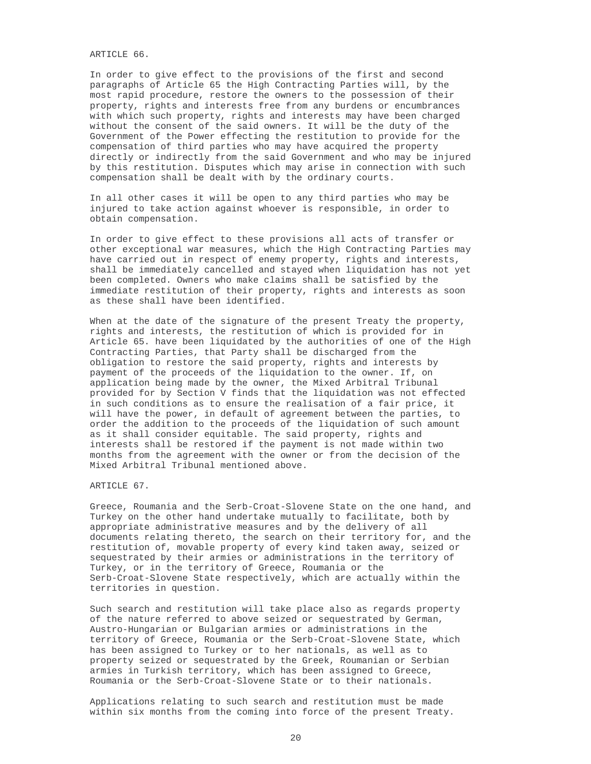ARTICLE 66.

In order to give effect to the provisions of the first and second paragraphs of Article 65 the High Contracting Parties will, by the most rapid procedure, restore the owners to the possession of their property, rights and interests free from any burdens or encumbrances with which such property, rights and interests may have been charged without the consent of the said owners. It will be the duty of the Government of the Power effecting the restitution to provide for the compensation of third parties who may have acquired the property directly or indirectly from the said Government and who may be injured by this restitution. Disputes which may arise in connection with such compensation shall be dealt with by the ordinary courts.

In all other cases it will be open to any third parties who may be injured to take action against whoever is responsible, in order to obtain compensation.

In order to give effect to these provisions all acts of transfer or other exceptional war measures, which the High Contracting Parties may have carried out in respect of enemy property, rights and interests, shall be immediately cancelled and stayed when liquidation has not yet been completed. Owners who make claims shall be satisfied by the immediate restitution of their property, rights and interests as soon as these shall have been identified.

When at the date of the signature of the present Treaty the property, rights and interests, the restitution of which is provided for in Article 65. have been liquidated by the authorities of one of the High Contracting Parties, that Party shall be discharged from the obligation to restore the said property, rights and interests by payment of the proceeds of the liquidation to the owner. If, on application being made by the owner, the Mixed Arbitral Tribunal provided for by Section V finds that the liquidation was not effected in such conditions as to ensure the realisation of a fair price, it will have the power, in default of agreement between the parties, to order the addition to the proceeds of the liquidation of such amount as it shall consider equitable. The said property, rights and interests shall be restored if the payment is not made within two months from the agreement with the owner or from the decision of the Mixed Arbitral Tribunal mentioned above.

ARTICLE 67.

Greece, Roumania and the Serb-Croat-Slovene State on the one hand, and Turkey on the other hand undertake mutually to facilitate, both by appropriate administrative measures and by the delivery of all documents relating thereto, the search on their territory for, and the restitution of, movable property of every kind taken away, seized or sequestrated by their armies or administrations in the territory of Turkey, or in the territory of Greece, Roumania or the Serb-Croat-Slovene State respectively, which are actually within the territories in question.

Such search and restitution will take place also as regards property of the nature referred to above seized or sequestrated by German, Austro-Hungarian or Bulgarian armies or administrations in the territory of Greece, Roumania or the Serb-Croat-Slovene State, which has been assigned to Turkey or to her nationals, as well as to property seized or sequestrated by the Greek, Roumanian or Serbian armies in Turkish territory, which has been assigned to Greece, Roumania or the Serb-Croat-Slovene State or to their nationals.

Applications relating to such search and restitution must be made within six months from the coming into force of the present Treaty.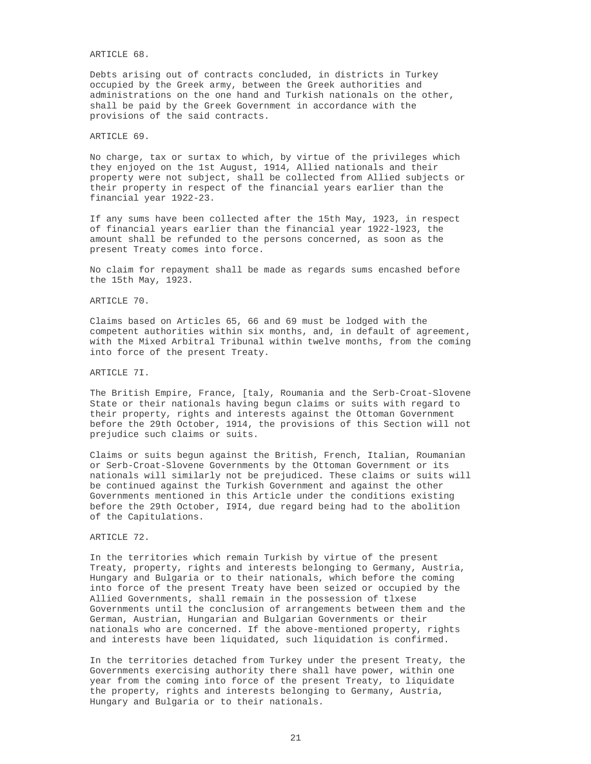ARTICLE 68.

Debts arising out of contracts concluded, in districts in Turkey occupied by the Greek army, between the Greek authorities and administrations on the one hand and Turkish nationals on the other, shall be paid by the Greek Government in accordance with the provisions of the said contracts.

ARTICLE 69.

No charge, tax or surtax to which, by virtue of the privileges which they enjoyed on the 1st August, 1914, Allied nationals and their property were not subject, shall be collected from Allied subjects or their property in respect of the financial years earlier than the financial year 1922-23.

If any sums have been collected after the 15th May, 1923, in respect of financial years earlier than the financial year 1922-l923, the amount shall be refunded to the persons concerned, as soon as the present Treaty comes into force.

No claim for repayment shall be made as regards sums encashed before the 15th May, 1923.

ARTICLE 70.

Claims based on Articles 65, 66 and 69 must be lodged with the competent authorities within six months, and, in default of agreement, with the Mixed Arbitral Tribunal within twelve months, from the coming into force of the present Treaty.

ARTICLE 7I.

The British Empire, France, [taly, Roumania and the Serb-Croat-Slovene State or their nationals having begun claims or suits with regard to their property, rights and interests against the Ottoman Government before the 29th October, 1914, the provisions of this Section will not prejudice such claims or suits.

Claims or suits begun against the British, French, Italian, Roumanian or Serb-Croat-Slovene Governments by the Ottoman Government or its nationals will similarly not be prejudiced. These claims or suits will be continued against the Turkish Government and against the other Governments mentioned in this Article under the conditions existing before the 29th October, I9I4, due regard being had to the abolition of the Capitulations.

ARTICLE 72.

In the territories which remain Turkish by virtue of the present Treaty, property, rights and interests belonging to Germany, Austria, Hungary and Bulgaria or to their nationals, which before the coming into force of the present Treaty have been seized or occupied by the Allied Governments, shall remain in the possession of tlxese Governments until the conclusion of arrangements between them and the German, Austrian, Hungarian and Bulgarian Governments or their nationals who are concerned. If the above-mentioned property, rights and interests have been liquidated, such liquidation is confirmed.

In the territories detached from Turkey under the present Treaty, the Governments exercising authority there shall have power, within one year from the coming into force of the present Treaty, to liquidate the property, rights and interests belonging to Germany, Austria, Hungary and Bulgaria or to their nationals.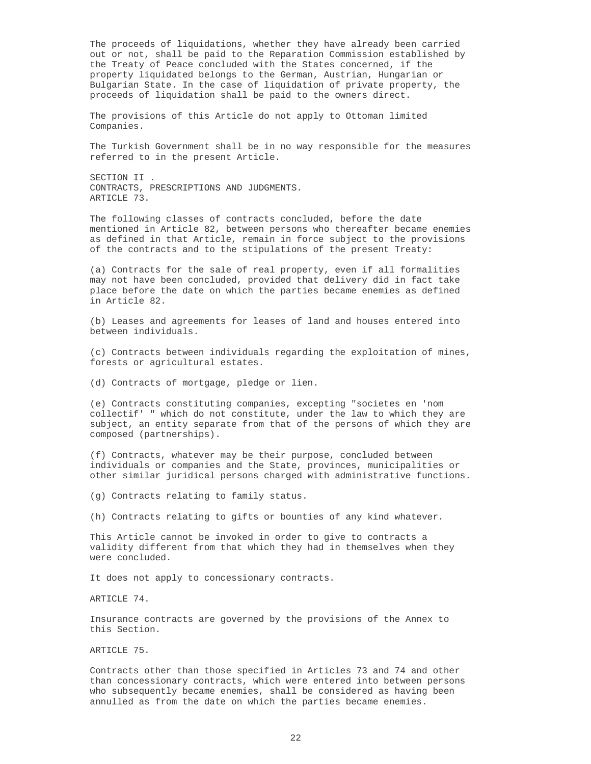The proceeds of liquidations, whether they have already been carried out or not, shall be paid to the Reparation Commission established by the Treaty of Peace concluded with the States concerned, if the property liquidated belongs to the German, Austrian, Hungarian or Bulgarian State. In the case of liquidation of private property, the proceeds of liquidation shall be paid to the owners direct.

The provisions of this Article do not apply to Ottoman limited Companies.

The Turkish Government shall be in no way responsible for the measures referred to in the present Article.

SECTION II . CONTRACTS, PRESCRIPTIONS AND JUDGMENTS. ARTICLE 73.

The following classes of contracts concluded, before the date mentioned in Article 82, between persons who thereafter became enemies as defined in that Article, remain in force subject to the provisions of the contracts and to the stipulations of the present Treaty:

(a) Contracts for the sale of real property, even if all formalities may not have been concluded, provided that delivery did in fact take place before the date on which the parties became enemies as defined in Article 82.

(b) Leases and agreements for leases of land and houses entered into between individuals.

(c) Contracts between individuals regarding the exploitation of mines, forests or agricultural estates.

(d) Contracts of mortgage, pledge or lien.

(e) Contracts constituting companies, excepting "societes en 'nom collectif' " which do not constitute, under the law to which they are subject, an entity separate from that of the persons of which they are composed (partnerships).

(f) Contracts, whatever may be their purpose, concluded between individuals or companies and the State, provinces, municipalities or other similar juridical persons charged with administrative functions.

(g) Contracts relating to family status.

(h) Contracts relating to gifts or bounties of any kind whatever.

This Article cannot be invoked in order to give to contracts a validity different from that which they had in themselves when they were concluded.

It does not apply to concessionary contracts.

ARTICLE 74.

Insurance contracts are governed by the provisions of the Annex to this Section.

ARTICLE 75.

Contracts other than those specified in Articles 73 and 74 and other than concessionary contracts, which were entered into between persons who subsequently became enemies, shall be considered as having been annulled as from the date on which the parties became enemies.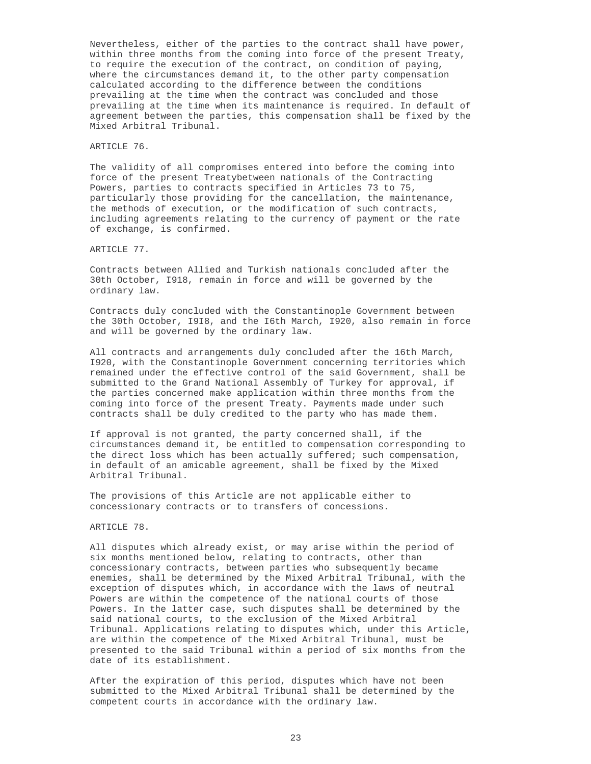Nevertheless, either of the parties to the contract shall have power, within three months from the coming into force of the present Treaty, to require the execution of the contract, on condition of paying, where the circumstances demand it, to the other party compensation calculated according to the difference between the conditions prevailing at the time when the contract was concluded and those prevailing at the time when its maintenance is required. In default of agreement between the parties, this compensation shall be fixed by the Mixed Arbitral Tribunal.

#### ARTICLE 76.

The validity of all compromises entered into before the coming into force of the present Treatybetween nationals of the Contracting Powers, parties to contracts specified in Articles 73 to 75, particularly those providing for the cancellation, the maintenance, the methods of execution, or the modification of such contracts, including agreements relating to the currency of payment or the rate of exchange, is confirmed.

ARTICLE 77.

Contracts between Allied and Turkish nationals concluded after the 30th October, I918, remain in force and will be governed by the ordinary law.

Contracts duly concluded with the Constantinople Government between the 30th October, I9I8, and the I6th March, I920, also remain in force and will be governed by the ordinary law.

All contracts and arrangements duly concluded after the 16th March, I920, with the Constantinople Government concerning territories which remained under the effective control of the said Government, shall be submitted to the Grand National Assembly of Turkey for approval, if the parties concerned make application within three months from the coming into force of the present Treaty. Payments made under such contracts shall be duly credited to the party who has made them.

If approval is not granted, the party concerned shall, if the circumstances demand it, be entitled to compensation corresponding to the direct loss which has been actually suffered; such compensation, in default of an amicable agreement, shall be fixed by the Mixed Arbitral Tribunal.

The provisions of this Article are not applicable either to concessionary contracts or to transfers of concessions.

ARTICLE 78.

All disputes which already exist, or may arise within the period of six months mentioned below, relating to contracts, other than concessionary contracts, between parties who subsequently became enemies, shall be determined by the Mixed Arbitral Tribunal, with the exception of disputes which, in accordance with the laws of neutral Powers are within the competence of the national courts of those Powers. In the latter case, such disputes shall be determined by the said national courts, to the exclusion of the Mixed Arbitral Tribunal. Applications relating to disputes which, under this Article, are within the competence of the Mixed Arbitral Tribunal, must be presented to the said Tribunal within a period of six months from the date of its establishment.

After the expiration of this period, disputes which have not been submitted to the Mixed Arbitral Tribunal shall be determined by the competent courts in accordance with the ordinary law.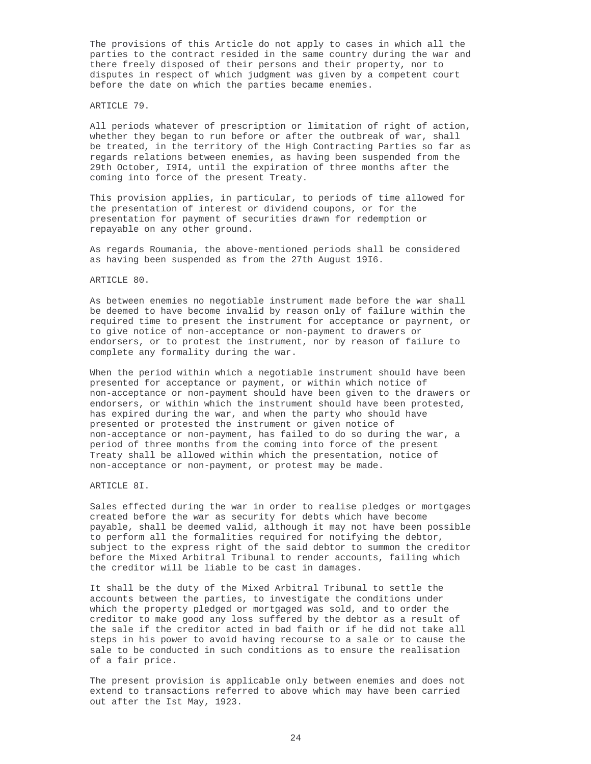The provisions of this Article do not apply to cases in which all the parties to the contract resided in the same country during the war and there freely disposed of their persons and their property, nor to disputes in respect of which judgment was given by a competent court before the date on which the parties became enemies.

ARTICLE 79.

All periods whatever of prescription or limitation of right of action, whether they began to run before or after the outbreak of war, shall be treated, in the territory of the High Contracting Parties so far as regards relations between enemies, as having been suspended from the 29th October, I9I4, until the expiration of three months after the coming into force of the present Treaty.

This provision applies, in particular, to periods of time allowed for the presentation of interest or dividend coupons, or for the presentation for payment of securities drawn for redemption or repayable on any other ground.

As regards Roumania, the above-mentioned periods shall be considered as having been suspended as from the 27th August 19I6.

ARTICLE 80.

As between enemies no negotiable instrument made before the war shall be deemed to have become invalid by reason only of failure within the required time to present the instrument for acceptance or payrnent, or to give notice of non-acceptance or non-payment to drawers or endorsers, or to protest the instrument, nor by reason of failure to complete any formality during the war.

When the period within which a negotiable instrument should have been presented for acceptance or payment, or within which notice of non-acceptance or non-payment should have been given to the drawers or endorsers, or within which the instrument should have been protested, has expired during the war, and when the party who should have presented or protested the instrument or given notice of non-acceptance or non-payment, has failed to do so during the war, a period of three months from the coming into force of the present Treaty shall be allowed within which the presentation, notice of non-acceptance or non-payment, or protest may be made.

ARTICLE 8I.

Sales effected during the war in order to realise pledges or mortgages created before the war as security for debts which have become payable, shall be deemed valid, although it may not have been possible to perform all the formalities required for notifying the debtor, subject to the express right of the said debtor to summon the creditor before the Mixed Arbitral Tribunal to render accounts, failing which the creditor will be liable to be cast in damages.

It shall be the duty of the Mixed Arbitral Tribunal to settle the accounts between the parties, to investigate the conditions under which the property pledged or mortgaged was sold, and to order the creditor to make good any loss suffered by the debtor as a result of the sale if the creditor acted in bad faith or if he did not take all steps in his power to avoid having recourse to a sale or to cause the sale to be conducted in such conditions as to ensure the realisation of a fair price.

The present provision is applicable only between enemies and does not extend to transactions referred to above which may have been carried out after the Ist May, 1923.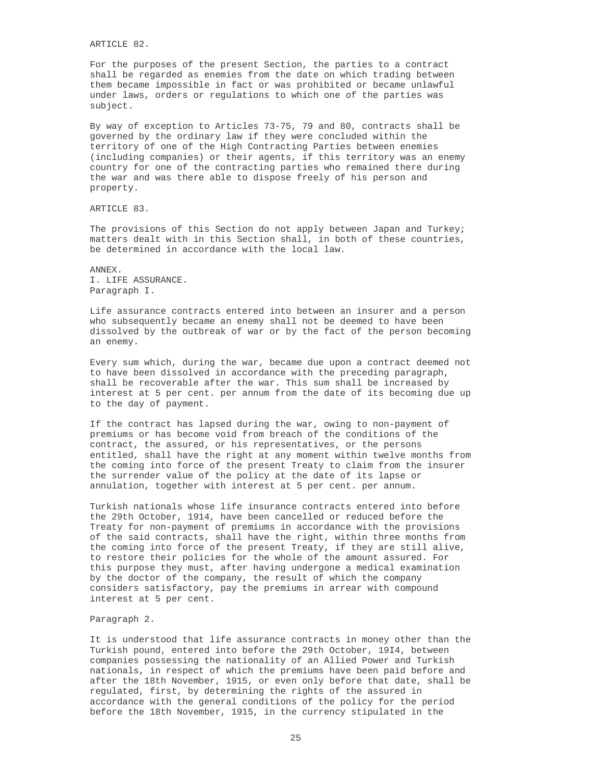ARTICLE 82.

For the purposes of the present Section, the parties to a contract shall be regarded as enemies from the date on which trading between them became impossible in fact or was prohibited or became unlawful under laws, orders or regulations to which one of the parties was subject.

By way of exception to Articles 73-75, 79 and 80, contracts shall be governed by the ordinary law if they were concluded within the territory of one of the High Contracting Parties between enemies (including companies) or their agents, if this territory was an enemy country for one of the contracting parties who remained there during the war and was there able to dispose freely of his person and property.

ARTICLE 83.

The provisions of this Section do not apply between Japan and Turkey; matters dealt with in this Section shall, in both of these countries, be determined in accordance with the local law.

ANNEX. I. LIFE ASSURANCE. Paragraph I.

Life assurance contracts entered into between an insurer and a person who subsequently became an enemy shall not be deemed to have been dissolved by the outbreak of war or by the fact of the person becoming an enemy.

Every sum which, during the war, became due upon a contract deemed not to have been dissolved in accordance with the preceding paragraph, shall be recoverable after the war. This sum shall be increased by interest at 5 per cent. per annum from the date of its becoming due up to the day of payment.

If the contract has lapsed during the war, owing to non-payment of premiums or has become void from breach of the conditions of the contract, the assured, or his representatives, or the persons entitled, shall have the right at any moment within twelve months from the coming into force of the present Treaty to claim from the insurer the surrender value of the policy at the date of its lapse or annulation, together with interest at 5 per cent. per annum.

Turkish nationals whose life insurance contracts entered into before the 29th October, 1914, have been cancelled or reduced before the Treaty for non-payment of premiums in accordance with the provisions of the said contracts, shall have the right, within three months from the coming into force of the present Treaty, if they are still alive, to restore their policies for the whole of the amount assured. For this purpose they must, after having undergone a medical examination by the doctor of the company, the result of which the company considers satisfactory, pay the premiums in arrear with compound interest at 5 per cent.

Paragraph 2.

It is understood that life assurance contracts in money other than the Turkish pound, entered into before the 29th October, 19I4, between companies possessing the nationality of an Allied Power and Turkish nationals, in respect of which the premiums have been paid before and after the 18th November, 1915, or even only before that date, shall be regulated, first, by determining the rights of the assured in accordance with the general conditions of the policy for the period before the 18th November, 1915, in the currency stipulated in the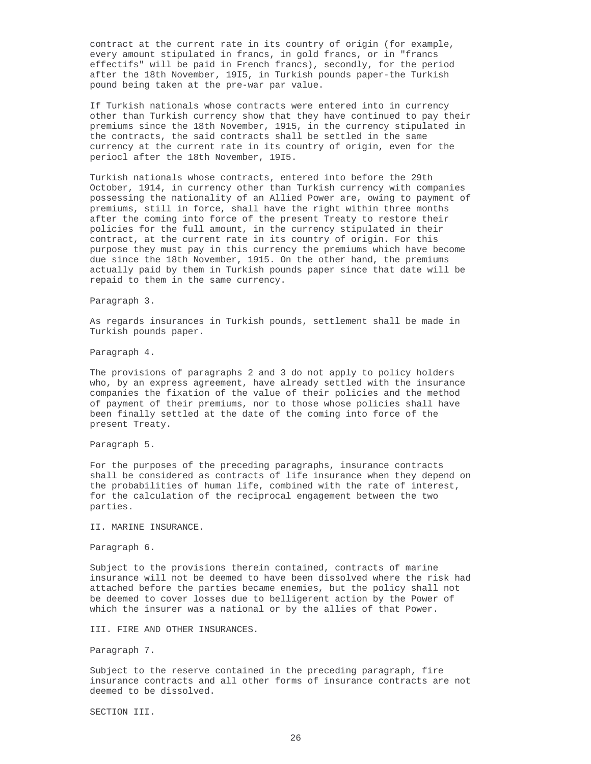contract at the current rate in its country of origin (for example, every amount stipulated in francs, in gold francs, or in "francs effectifs" will be paid in French francs), secondly, for the period after the 18th November, 19I5, in Turkish pounds paper-the Turkish pound being taken at the pre-war par value.

If Turkish nationals whose contracts were entered into in currency other than Turkish currency show that they have continued to pay their premiums since the 18th November, 1915, in the currency stipulated in the contracts, the said contracts shall be settled in the same currency at the current rate in its country of origin, even for the periocl after the 18th November, 19I5.

Turkish nationals whose contracts, entered into before the 29th October, 1914, in currency other than Turkish currency with companies possessing the nationality of an Allied Power are, owing to payment of premiums, still in force, shall have the right within three months after the coming into force of the present Treaty to restore their policies for the full amount, in the currency stipulated in their contract, at the current rate in its country of origin. For this purpose they must pay in this currency the premiums which have become due since the 18th November, 1915. On the other hand, the premiums actually paid by them in Turkish pounds paper since that date will be repaid to them in the same currency.

Paragraph 3.

As regards insurances in Turkish pounds, settlement shall be made in Turkish pounds paper.

Paragraph 4.

The provisions of paragraphs 2 and 3 do not apply to policy holders who, by an express agreement, have already settled with the insurance companies the fixation of the value of their policies and the method of payment of their premiums, nor to those whose policies shall have been finally settled at the date of the coming into force of the present Treaty.

Paragraph 5.

For the purposes of the preceding paragraphs, insurance contracts shall be considered as contracts of life insurance when they depend on the probabilities of human life, combined with the rate of interest, for the calculation of the reciprocal engagement between the two parties.

II. MARINE INSURANCE.

Paragraph 6.

Subject to the provisions therein contained, contracts of marine insurance will not be deemed to have been dissolved where the risk had attached before the parties became enemies, but the policy shall not be deemed to cover losses due to belligerent action by the Power of which the insurer was a national or by the allies of that Power.

III. FIRE AND OTHER INSURANCES.

Paragraph 7.

Subject to the reserve contained in the preceding paragraph, fire insurance contracts and all other forms of insurance contracts are not deemed to be dissolved.

SECTION III.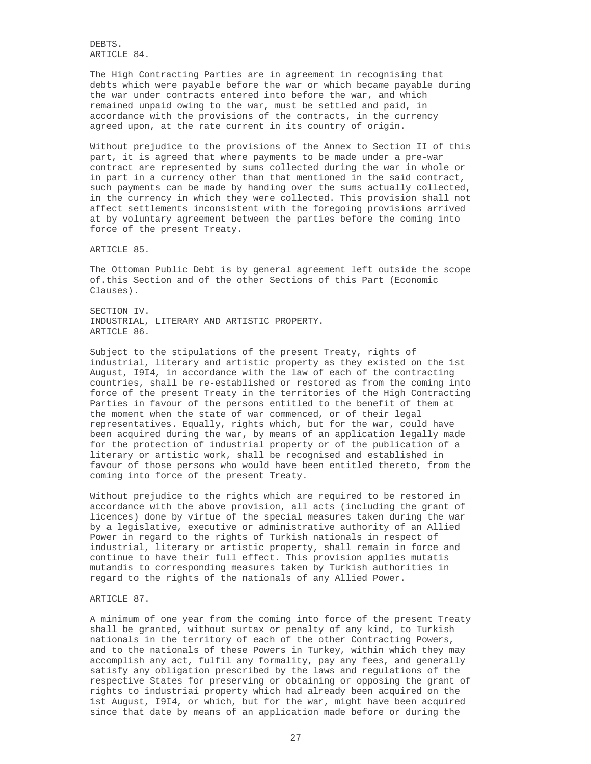DEBTS. ARTICLE 84.

The High Contracting Parties are in agreement in recognising that debts which were payable before the war or which became payable during the war under contracts entered into before the war, and which remained unpaid owing to the war, must be settled and paid, in accordance with the provisions of the contracts, in the currency agreed upon, at the rate current in its country of origin.

Without prejudice to the provisions of the Annex to Section II of this part, it is agreed that where payments to be made under a pre-war contract are represented by sums collected during the war in whole or in part in a currency other than that mentioned in the said contract, such payments can be made by handing over the sums actually collected, in the currency in which they were collected. This provision shall not affect settlements inconsistent with the foregoing provisions arrived at by voluntary agreement between the parties before the coming into force of the present Treaty.

ARTICLE 85.

The Ottoman Public Debt is by general agreement left outside the scope of.this Section and of the other Sections of this Part (Economic Clauses).

SECTION IV. INDUSTRIAL, LITERARY AND ARTISTIC PROPERTY. ARTICLE 86.

Subject to the stipulations of the present Treaty, rights of industrial, literary and artistic property as they existed on the 1st August, I9I4, in accordance with the law of each of the contracting countries, shall be re-established or restored as from the coming into force of the present Treaty in the territories of the High Contracting Parties in favour of the persons entitled to the benefit of them at the moment when the state of war commenced, or of their legal representatives. Equally, rights which, but for the war, could have been acquired during the war, by means of an application legally made for the protection of industrial property or of the publication of a literary or artistic work, shall be recognised and established in favour of those persons who would have been entitled thereto, from the coming into force of the present Treaty.

Without prejudice to the rights which are required to be restored in accordance with the above provision, all acts (including the grant of licences) done by virtue of the special measures taken during the war by a legislative, executive or administrative authority of an Allied Power in regard to the rights of Turkish nationals in respect of industrial, literary or artistic property, shall remain in force and continue to have their full effect. This provision applies mutatis mutandis to corresponding measures taken by Turkish authorities in regard to the rights of the nationals of any Allied Power.

## ARTICLE 87.

A minimum of one year from the coming into force of the present Treaty shall be granted, without surtax or penalty of any kind, to Turkish nationals in the territory of each of the other Contracting Powers, and to the nationals of these Powers in Turkey, within which they may accomplish any act, fulfil any formality, pay any fees, and generally satisfy any obligation prescribed by the laws and regulations of the respective States for preserving or obtaining or opposing the grant of rights to industriai property which had already been acquired on the 1st August, I9I4, or which, but for the war, might have been acquired since that date by means of an application made before or during the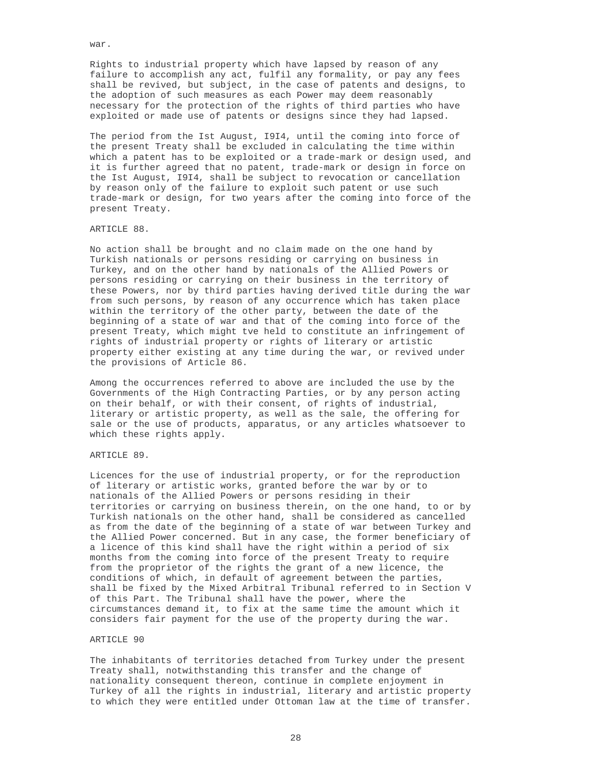Rights to industrial property which have lapsed by reason of any failure to accomplish any act, fulfil any formality, or pay any fees shall be revived, but subject, in the case of patents and designs, to the adoption of such measures as each Power may deem reasonably necessary for the protection of the rights of third parties who have exploited or made use of patents or designs since they had lapsed.

The period from the Ist August, I9I4, until the coming into force of the present Treaty shall be excluded in calculating the time within which a patent has to be exploited or a trade-mark or design used, and it is further agreed that no patent, trade-mark or design in force on the Ist August, I9I4, shall be subject to revocation or cancellation by reason only of the failure to exploit such patent or use such trade-mark or design, for two years after the coming into force of the present Treaty.

ARTICLE 88.

No action shall be brought and no claim made on the one hand by Turkish nationals or persons residing or carrying on business in Turkey, and on the other hand by nationals of the Allied Powers or persons residing or carrying on their business in the territory of these Powers, nor by third parties having derived title during the war from such persons, by reason of any occurrence which has taken place within the territory of the other party, between the date of the beginning of a state of war and that of the coming into force of the present Treaty, which might tve held to constitute an infringement of rights of industrial property or rights of literary or artistic property either existing at any time during the war, or revived under the provisions of Article 86.

Among the occurrences referred to above are included the use by the Governments of the High Contracting Parties, or by any person acting on their behalf, or with their consent, of rights of industrial, literary or artistic property, as well as the sale, the offering for sale or the use of products, apparatus, or any articles whatsoever to which these rights apply.

### ARTICLE 89.

Licences for the use of industrial property, or for the reproduction of literary or artistic works, granted before the war by or to nationals of the Allied Powers or persons residing in their territories or carrying on business therein, on the one hand, to or by Turkish nationals on the other hand, shall be considered as cancelled as from the date of the beginning of a state of war between Turkey and the Allied Power concerned. But in any case, the former beneficiary of a licence of this kind shall have the right within a period of six months from the coming into force of the present Treaty to require from the proprietor of the rights the grant of a new licence, the conditions of which, in default of agreement between the parties, shall be fixed by the Mixed Arbitral Tribunal referred to in Section V of this Part. The Tribunal shall have the power, where the circumstances demand it, to fix at the same time the amount which it considers fair payment for the use of the property during the war.

## ARTICLE 90

The inhabitants of territories detached from Turkey under the present Treaty shall, notwithstanding this transfer and the change of nationality consequent thereon, continue in complete enjoyment in Turkey of all the rights in industrial, literary and artistic property to which they were entitled under Ottoman law at the time of transfer.

war.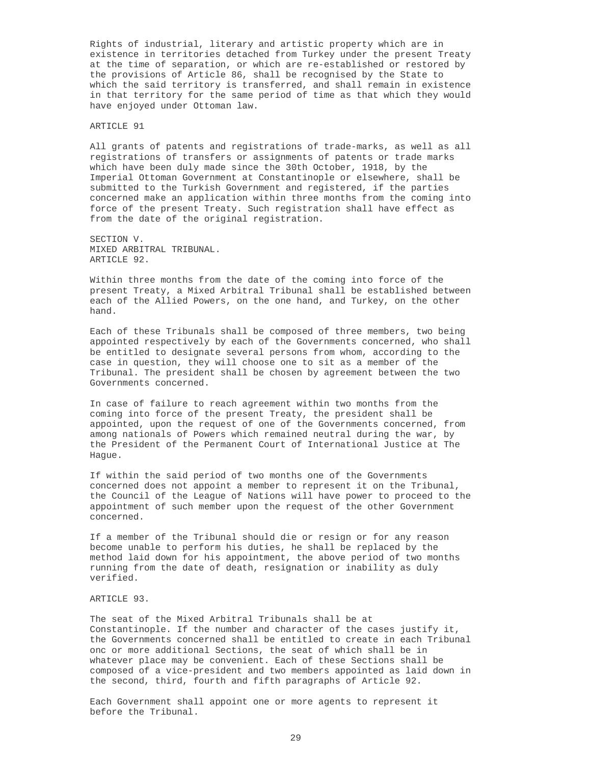Rights of industrial, literary and artistic property which are in existence in territories detached from Turkey under the present Treaty at the time of separation, or which are re-established or restored by the provisions of Article 86, shall be recognised by the State to which the said territory is transferred, and shall remain in existence in that territory for the same period of time as that which they would have enjoyed under Ottoman law.

#### ARTICLE 91

All grants of patents and registrations of trade-marks, as well as all registrations of transfers or assignments of patents or trade marks which have been duly made since the 30th October, 1918, by the Imperial Ottoman Government at Constantinople or elsewhere, shall be submitted to the Turkish Government and registered, if the parties concerned make an application within three months from the coming into force of the present Treaty. Such registration shall have effect as from the date of the original registration.

SECTION V. MIXED ARBITRAL TRIBUNAL. ARTICLE 92.

Within three months from the date of the coming into force of the present Treaty, a Mixed Arbitral Tribunal shall be established between each of the Allied Powers, on the one hand, and Turkey, on the other hand.

Each of these Tribunals shall be composed of three members, two being appointed respectively by each of the Governments concerned, who shall be entitled to designate several persons from whom, according to the case in question, they will choose one to sit as a member of the Tribunal. The president shall be chosen by agreement between the two Governments concerned.

In case of failure to reach agreement within two months from the coming into force of the present Treaty, the president shall be appointed, upon the request of one of the Governments concerned, from among nationals of Powers which remained neutral during the war, by the President of the Permanent Court of International Justice at The Hague.

If within the said period of two months one of the Governments concerned does not appoint a member to represent it on the Tribunal, the Council of the League of Nations will have power to proceed to the appointment of such member upon the request of the other Government concerned.

If a member of the Tribunal should die or resign or for any reason become unable to perform his duties, he shall be replaced by the method laid down for his appointment, the above period of two months running from the date of death, resignation or inability as duly verified.

## ARTICLE 93.

The seat of the Mixed Arbitral Tribunals shall be at Constantinople. If the number and character of the cases justify it, the Governments concerned shall be entitled to create in each Tribunal onc or more additional Sections, the seat of which shall be in whatever place may be convenient. Each of these Sections shall be composed of a vice-president and two members appointed as laid down in the second, third, fourth and fifth paragraphs of Article 92.

Each Government shall appoint one or more agents to represent it before the Tribunal.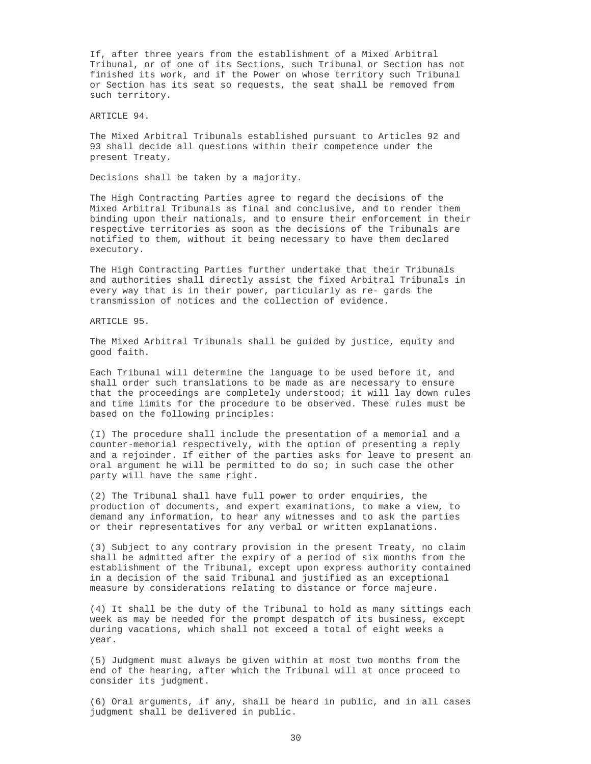If, after three years from the establishment of a Mixed Arbitral Tribunal, or of one of its Sections, such Tribunal or Section has not finished its work, and if the Power on whose territory such Tribunal or Section has its seat so requests, the seat shall be removed from such territory.

ARTICLE 94.

The Mixed Arbitral Tribunals established pursuant to Articles 92 and 93 shall decide all questions within their competence under the present Treaty.

Decisions shall be taken by a majority.

The High Contracting Parties agree to regard the decisions of the Mixed Arbitral Tribunals as final and conclusive, and to render them binding upon their nationals, and to ensure their enforcement in their respective territories as soon as the decisions of the Tribunals are notified to them, without it being necessary to have them declared executory.

The High Contracting Parties further undertake that their Tribunals and authorities shall directly assist the fixed Arbitral Tribunals in every way that is in their power, particularly as re- gards the transmission of notices and the collection of evidence.

ARTICLE 95.

The Mixed Arbitral Tribunals shall be guided by justice, equity and good faith.

Each Tribunal will determine the language to be used before it, and shall order such translations to be made as are necessary to ensure that the proceedings are completely understood; it will lay down rules and time limits for the procedure to be observed. These rules must be based on the following principles:

(I) The procedure shall include the presentation of a memorial and a counter-memorial respectively, with the option of presenting a reply and a rejoinder. If either of the parties asks for leave to present an oral argument he will be permitted to do so; in such case the other party will have the same right.

(2) The Tribunal shall have full power to order enquiries, the production of documents, and expert examinations, to make a view, to demand any information, to hear any witnesses and to ask the parties or their representatives for any verbal or written explanations.

(3) Subject to any contrary provision in the present Treaty, no claim shall be admitted after the expiry of a period of six months from the establishment of the Tribunal, except upon express authority contained in a decision of the said Tribunal and justified as an exceptional measure by considerations relating to distance or force majeure.

(4) It shall be the duty of the Tribunal to hold as many sittings each week as may be needed for the prompt despatch of its business, except during vacations, which shall not exceed a total of eight weeks a year.

(5) Judgment must always be given within at most two months from the end of the hearing, after which the Tribunal will at once proceed to consider its judgment.

(6) Oral arguments, if any, shall be heard in public, and in all cases judgment shall be delivered in public.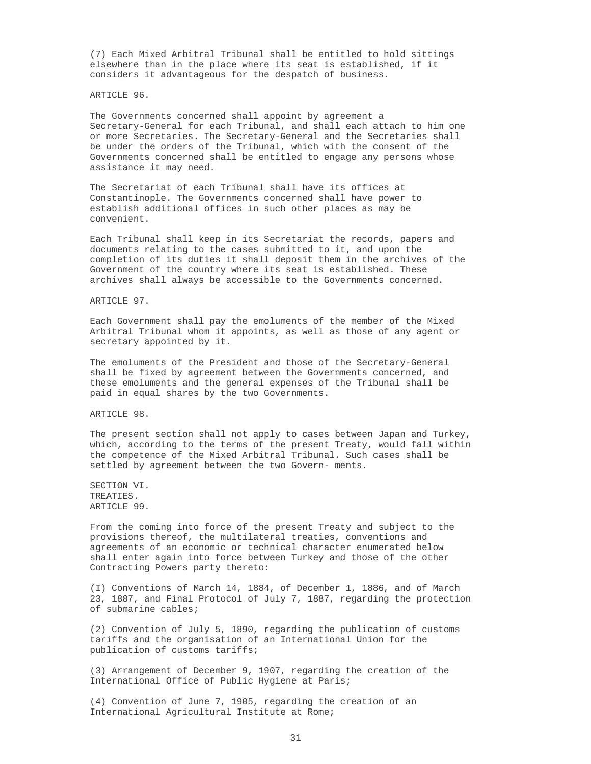(7) Each Mixed Arbitral Tribunal shall be entitled to hold sittings elsewhere than in the place where its seat is established, if it considers it advantageous for the despatch of business.

ARTICLE 96.

The Governments concerned shall appoint by agreement a Secretary-General for each Tribunal, and shall each attach to him one or more Secretaries. The Secretary-General and the Secretaries shall be under the orders of the Tribunal, which with the consent of the Governments concerned shall be entitled to engage any persons whose assistance it may need.

The Secretariat of each Tribunal shall have its offices at Constantinople. The Governments concerned shall have power to establish additional offices in such other places as may be convenient.

Each Tribunal shall keep in its Secretariat the records, papers and documents relating to the cases submitted to it, and upon the completion of its duties it shall deposit them in the archives of the Government of the country where its seat is established. These archives shall always be accessible to the Governments concerned.

ARTICLE 97.

Each Government shall pay the emoluments of the member of the Mixed Arbitral Tribunal whom it appoints, as well as those of any agent or secretary appointed by it.

The emoluments of the President and those of the Secretary-General shall be fixed by agreement between the Governments concerned, and these emoluments and the general expenses of the Tribunal shall be paid in equal shares by the two Governments.

ARTICLE 98.

The present section shall not apply to cases between Japan and Turkey, which, according to the terms of the present Treaty, would fall within the competence of the Mixed Arbitral Tribunal. Such cases shall be settled by agreement between the two Govern- ments.

SECTION VI. TREATIES. ARTICLE 99.

From the coming into force of the present Treaty and subject to the provisions thereof, the multilateral treaties, conventions and agreements of an economic or technical character enumerated below shall enter again into force between Turkey and those of the other Contracting Powers party thereto:

(I) Conventions of March 14, 1884, of December 1, 1886, and of March 23, 1887, and Final Protocol of July 7, 1887, regarding the protection of submarine cables;

(2) Convention of July 5, 1890, regarding the publication of customs tariffs and the organisation of an International Union for the publication of customs tariffs;

(3) Arrangement of December 9, 1907, regarding the creation of the International Office of Public Hygiene at Paris;

(4) Convention of June 7, 1905, regarding the creation of an International Agricultural Institute at Rome;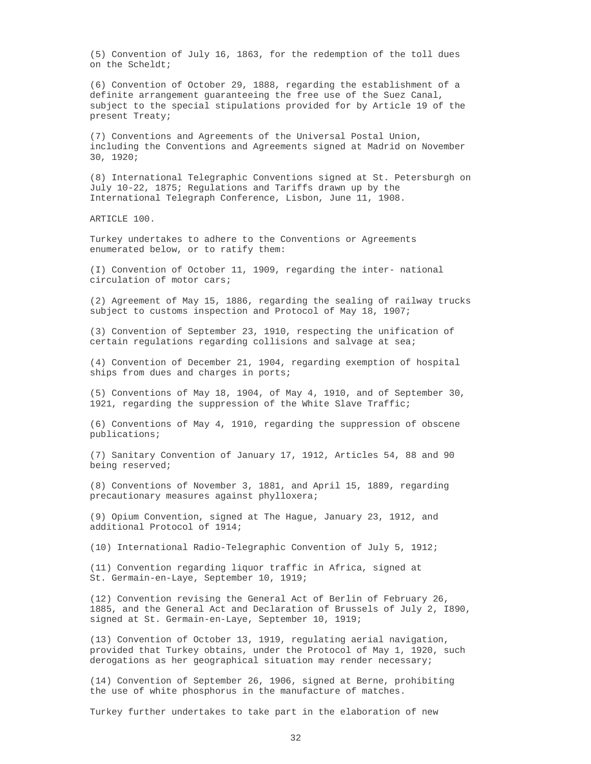(5) Convention of July 16, 1863, for the redemption of the toll dues on the Scheldt;

(6) Convention of October 29, 1888, regarding the establishment of a definite arrangement guaranteeing the free use of the Suez Canal, subject to the special stipulations provided for by Article 19 of the present Treaty;

(7) Conventions and Agreements of the Universal Postal Union, including the Conventions and Agreements signed at Madrid on November 30, 1920;

(8) International Telegraphic Conventions signed at St. Petersburgh on July 10-22, 1875; Regulations and Tariffs drawn up by the International Telegraph Conference, Lisbon, June 11, 1908.

ARTICLE 100.

Turkey undertakes to adhere to the Conventions or Agreements enumerated below, or to ratify them:

(I) Convention of October 11, 1909, regarding the inter- national circulation of motor cars;

(2) Agreement of May 15, 1886, regarding the sealing of railway trucks subject to customs inspection and Protocol of May 18, 1907;

(3) Convention of September 23, 1910, respecting the unification of certain regulations regarding collisions and salvage at sea;

(4) Convention of December 21, 1904, regarding exemption of hospital ships from dues and charges in ports;

(5) Conventions of May 18, 1904, of May 4, 1910, and of September 30, 1921, regarding the suppression of the White Slave Traffic;

(6) Conventions of May 4, 1910, regarding the suppression of obscene publications;

(7) Sanitary Convention of January 17, 1912, Articles 54, 88 and 90 being reserved;

(8) Conventions of November 3, 1881, and April 15, 1889, regarding precautionary measures against phylloxera;

(9) Opium Convention, signed at The Hague, January 23, 1912, and additional Protocol of 1914;

(10) International Radio-Telegraphic Convention of July 5, 1912;

(11) Convention regarding liquor traffic in Africa, signed at St. Germain-en-Laye, September 10, 1919;

(12) Convention revising the General Act of Berlin of February 26, 1885, and the General Act and Declaration of Brussels of July 2, I890, signed at St. Germain-en-Laye, September 10, 1919;

(13) Convention of October 13, 1919, regulating aerial navigation, provided that Turkey obtains, under the Protocol of May 1, 1920, such derogations as her geographical situation may render necessary;

(14) Convention of September 26, 1906, signed at Berne, prohibiting the use of white phosphorus in the manufacture of matches.

Turkey further undertakes to take part in the elaboration of new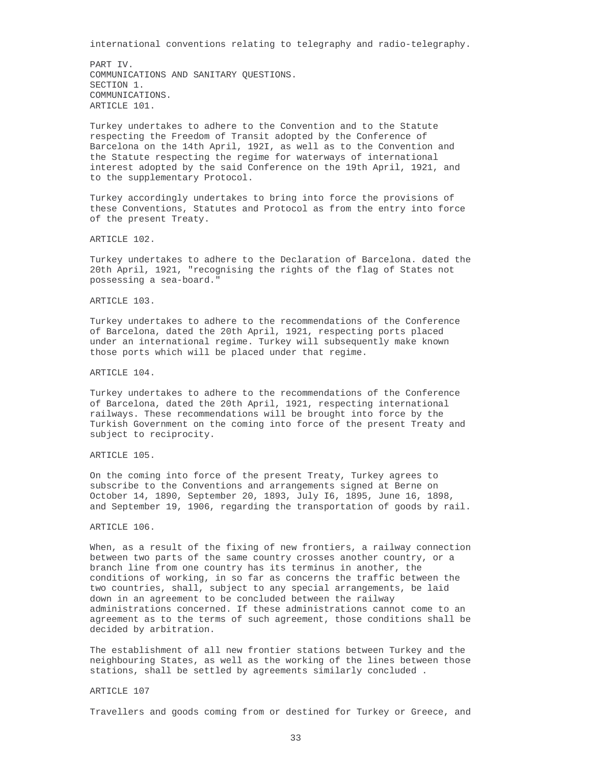international conventions relating to telegraphy and radio-telegraphy.

PART IV. COMMUNICATIONS AND SANITARY QUESTIONS. SECTION 1. COMMUNICATIONS. ARTICLE 101.

Turkey undertakes to adhere to the Convention and to the Statute respecting the Freedom of Transit adopted by the Conference of Barcelona on the 14th April, 192I, as well as to the Convention and the Statute respecting the regime for waterways of international interest adopted by the said Conference on the 19th April, 1921, and to the supplementary Protocol.

Turkey accordingly undertakes to bring into force the provisions of these Conventions, Statutes and Protocol as from the entry into force of the present Treaty.

ARTICLE 102.

Turkey undertakes to adhere to the Declaration of Barcelona. dated the 20th April, 1921, "recognising the rights of the flag of States not possessing a sea-board."

ARTICLE 103.

Turkey undertakes to adhere to the recommendations of the Conference of Barcelona, dated the 20th April, 1921, respecting ports placed under an international regime. Turkey will subsequently make known those ports which will be placed under that regime.

ARTICLE 104.

Turkey undertakes to adhere to the recommendations of the Conference of Barcelona, dated the 20th April, 1921, respecting international railways. These recommendations will be brought into force by the Turkish Government on the coming into force of the present Treaty and subject to reciprocity.

ARTICLE 105.

On the coming into force of the present Treaty, Turkey agrees to subscribe to the Conventions and arrangements signed at Berne on October 14, 1890, September 20, 1893, July I6, 1895, June 16, 1898, and September 19, 1906, regarding the transportation of goods by rail.

ARTICLE 106.

When, as a result of the fixing of new frontiers, a railway connection between two parts of the same country crosses another country, or a branch line from one country has its terminus in another, the conditions of working, in so far as concerns the traffic between the two countries, shall, subject to any special arrangements, be laid down in an agreement to be concluded between the railway administrations concerned. If these administrations cannot come to an agreement as to the terms of such agreement, those conditions shall be decided by arbitration.

The establishment of all new frontier stations between Turkey and the neighbouring States, as well as the working of the lines between those stations, shall be settled by agreements similarly concluded .

ARTICLE 107

Travellers and goods coming from or destined for Turkey or Greece, and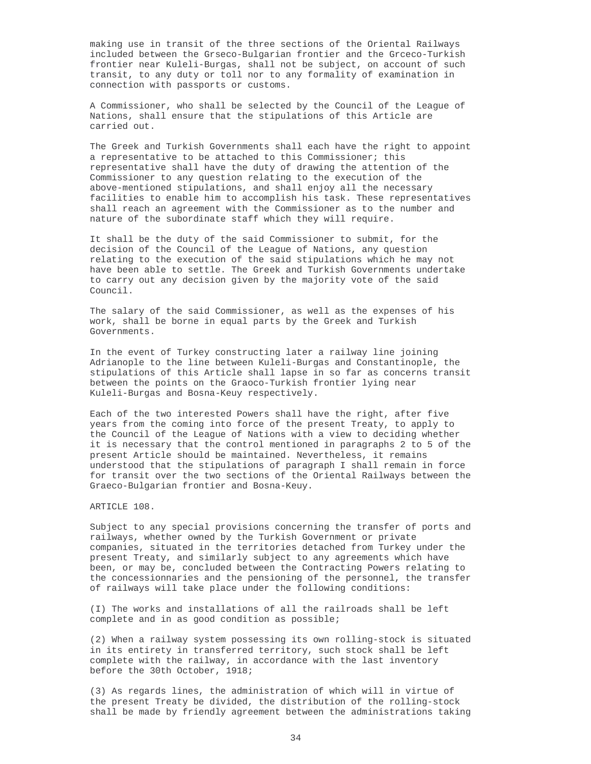making use in transit of the three sections of the Oriental Railways included between the Grseco-Bulgarian frontier and the Grceco-Turkish frontier near Kuleli-Burgas, shall not be subject, on account of such transit, to any duty or toll nor to any formality of examination in connection with passports or customs.

A Commissioner, who shall be selected by the Council of the League of Nations, shall ensure that the stipulations of this Article are carried out.

The Greek and Turkish Governments shall each have the right to appoint a representative to be attached to this Commissioner; this representative shall have the duty of drawing the attention of the Commissioner to any question relating to the execution of the above-mentioned stipulations, and shall enjoy all the necessary facilities to enable him to accomplish his task. These representatives shall reach an agreement with the Commissioner as to the number and nature of the subordinate staff which they will require.

It shall be the duty of the said Commissioner to submit, for the decision of the Council of the League of Nations, any question relating to the execution of the said stipulations which he may not have been able to settle. The Greek and Turkish Governments undertake to carry out any decision given by the majority vote of the said Council.

The salary of the said Commissioner, as well as the expenses of his work, shall be borne in equal parts by the Greek and Turkish Governments.

In the event of Turkey constructing later a railway line joining Adrianople to the line between Kuleli-Burgas and Constantinople, the stipulations of this Article shall lapse in so far as concerns transit between the points on the Graoco-Turkish frontier lying near Kuleli-Burgas and Bosna-Keuy respectively.

Each of the two interested Powers shall have the right, after five years from the coming into force of the present Treaty, to apply to the Council of the League of Nations with a view to deciding whether it is necessary that the control mentioned in paragraphs 2 to 5 of the present Article should be maintained. Nevertheless, it remains understood that the stipulations of paragraph I shall remain in force for transit over the two sections of the Oriental Railways between the Graeco-Bulgarian frontier and Bosna-Keuy.

ARTICLE 108.

Subject to any special provisions concerning the transfer of ports and railways, whether owned by the Turkish Government or private companies, situated in the territories detached from Turkey under the present Treaty, and similarly subject to any agreements which have been, or may be, concluded between the Contracting Powers relating to the concessionnaries and the pensioning of the personnel, the transfer of railways will take place under the following conditions:

(I) The works and installations of all the railroads shall be left complete and in as good condition as possible;

(2) When a railway system possessing its own rolling-stock is situated in its entirety in transferred territory, such stock shall be left complete with the railway, in accordance with the last inventory before the 30th October, 1918;

(3) As regards lines, the administration of which will in virtue of the present Treaty be divided, the distribution of the rolling-stock shall be made by friendly agreement between the administrations taking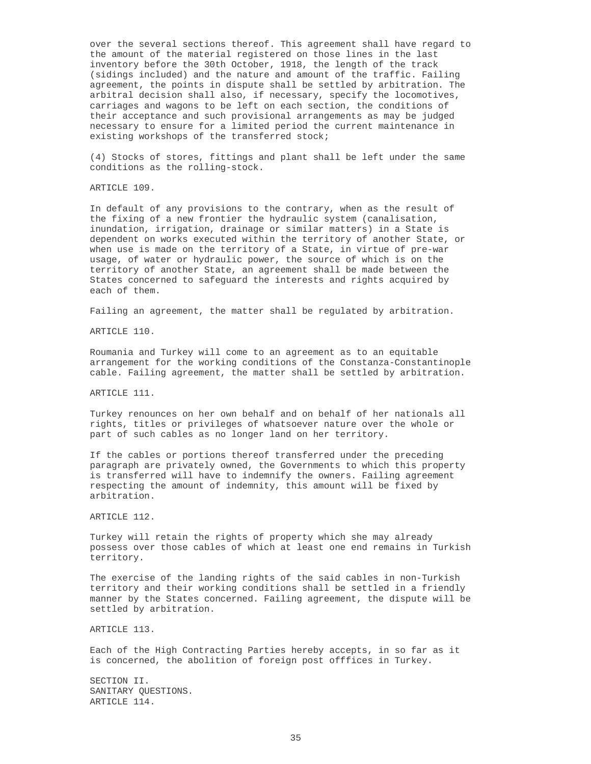over the several sections thereof. This agreement shall have regard to the amount of the material registered on those lines in the last inventory before the 30th October, 1918, the length of the track (sidings included) and the nature and amount of the traffic. Failing agreement, the points in dispute shall be settled by arbitration. The arbitral decision shall also, if necessary, specify the locomotives, carriages and wagons to be left on each section, the conditions of their acceptance and such provisional arrangements as may be judged necessary to ensure for a limited period the current maintenance in existing workshops of the transferred stock;

(4) Stocks of stores, fittings and plant shall be left under the same conditions as the rolling-stock.

ARTICLE 109.

In default of any provisions to the contrary, when as the result of the fixing of a new frontier the hydraulic system (canalisation, inundation, irrigation, drainage or similar matters) in a State is dependent on works executed within the territory of another State, or when use is made on the territory of a State, in virtue of pre-war usage, of water or hydraulic power, the source of which is on the territory of another State, an agreement shall be made between the States concerned to safeguard the interests and rights acquired by each of them.

Failing an agreement, the matter shall be regulated by arbitration.

ARTICLE 110.

Roumania and Turkey will come to an agreement as to an equitable arrangement for the working conditions of the Constanza-Constantinople cable. Failing agreement, the matter shall be settled by arbitration.

ARTICLE 111.

Turkey renounces on her own behalf and on behalf of her nationals all rights, titles or privileges of whatsoever nature over the whole or part of such cables as no longer land on her territory.

If the cables or portions thereof transferred under the preceding paragraph are privately owned, the Governments to which this property is transferred will have to indemnify the owners. Failing agreement respecting the amount of indemnity, this amount will be fixed by arbitration.

ARTICLE 112.

Turkey will retain the rights of property which she may already possess over those cables of which at least one end remains in Turkish territory.

The exercise of the landing rights of the said cables in non-Turkish territory and their working conditions shall be settled in a friendly manner by the States concerned. Failing agreement, the dispute will be settled by arbitration.

ARTICLE 113.

Each of the High Contracting Parties hereby accepts, in so far as it is concerned, the abolition of foreign post offfices in Turkey.

SECTION II. SANITARY QUESTIONS. ARTICLE 114.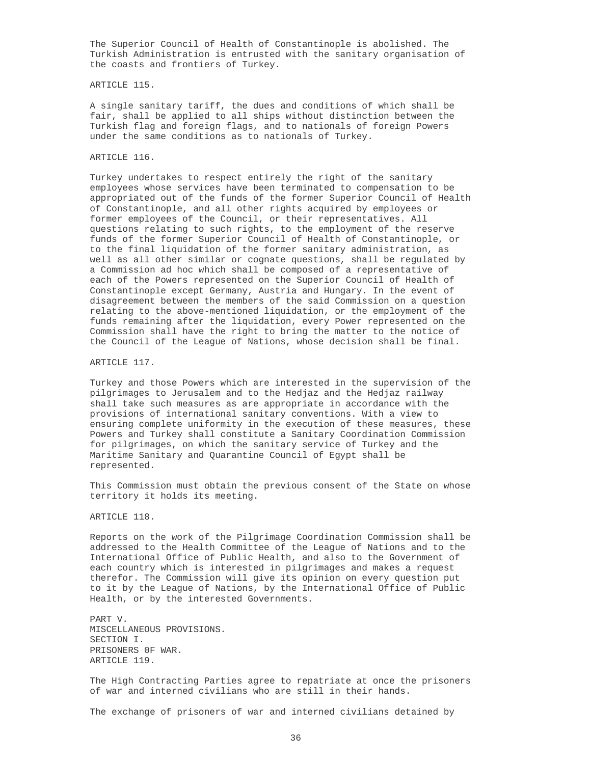The Superior Council of Health of Constantinople is abolished. The Turkish Administration is entrusted with the sanitary organisation of the coasts and frontiers of Turkey.

ARTICLE 115.

A single sanitary tariff, the dues and conditions of which shall be fair, shall be applied to all ships without distinction between the Turkish flag and foreign flags, and to nationals of foreign Powers under the same conditions as to nationals of Turkey.

#### ARTICLE 116.

Turkey undertakes to respect entirely the right of the sanitary employees whose services have been terminated to compensation to be appropriated out of the funds of the former Superior Council of Health of Constantinople, and all other rights acquired by employees or former employees of the Council, or their representatives. All questions relating to such rights, to the employment of the reserve funds of the former Superior Council of Health of Constantinople, or to the final liquidation of the former sanitary administration, as well as all other similar or cognate questions, shall be regulated by a Commission ad hoc which shall be composed of a representative of each of the Powers represented on the Superior Council of Health of Constantinople except Germany, Austria and Hungary. In the event of disagreement between the members of the said Commission on a question relating to the above-mentioned liquidation, or the employment of the funds remaining after the liquidation, every Power represented on the Commission shall have the right to bring the matter to the notice of the Council of the League of Nations, whose decision shall be final.

ARTICLE 117.

Turkey and those Powers which are interested in the supervision of the pilgrimages to Jerusalem and to the Hedjaz and the Hedjaz railway shall take such measures as are appropriate in accordance with the provisions of international sanitary conventions. With a view to ensuring complete uniformity in the execution of these measures, these Powers and Turkey shall constitute a Sanitary Coordination Commission for pilgrimages, on which the sanitary service of Turkey and the Maritime Sanitary and Quarantine Council of Egypt shall be represented.

This Commission must obtain the previous consent of the State on whose territory it holds its meeting.

ARTICLE 118.

Reports on the work of the Pilgrimage Coordination Commission shall be addressed to the Health Committee of the League of Nations and to the International Office of Public Health, and also to the Government of each country which is interested in pilgrimages and makes a request therefor. The Commission will give its opinion on every question put to it by the League of Nations, by the International Office of Public Health, or by the interested Governments.

PART V. MISCELLANEOUS PROVISIONS. SECTION I. PRISONERS 0F WAR. ARTICLE 119.

The High Contracting Parties agree to repatriate at once the prisoners of war and interned civilians who are still in their hands.

The exchange of prisoners of war and interned civilians detained by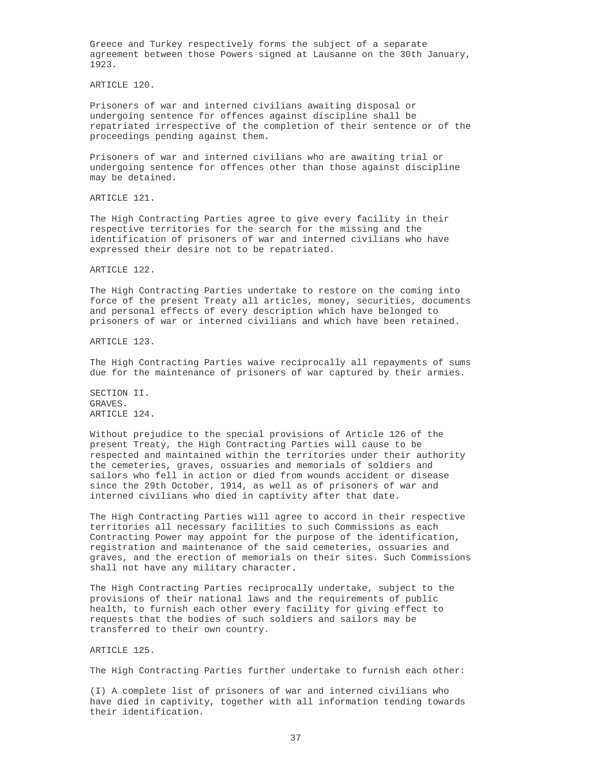Greece and Turkey respectively forms the subject of a separate agreement between those Powers signed at Lausanne on the 30th January, 1923.

ARTICLE 120.

Prisoners of war and interned civilians awaiting disposal or undergoing sentence for offences against discipline shall be repatriated irrespective of the completion of their sentence or of the proceedings pending against them.

Prisoners of war and interned civilians who are awaiting trial or undergoing sentence for offences other than those against discipline may be detained.

ARTICLE 121.

The High Contracting Parties agree to give every facility in their respective territories for the search for the missing and the identification of prisoners of war and interned civilians who have expressed their desire not to be repatriated.

ARTICLE 122.

The High Contracting Parties undertake to restore on the coming into force of the present Treaty all articles, money, securities, documents and personal effects of every description which have belonged to prisoners of war or interned civilians and which have been retained.

ARTICLE 123.

The High Contracting Parties waive reciprocally all repayments of sums due for the maintenance of prisoners of war captured by their armies.

SECTION II. GRAVES. ARTICLE 124.

Without prejudice to the special provisions of Article 126 of the present Treaty, the High Contracting Parties will cause to be respected and maintained within the territories under their authority the cemeteries, graves, ossuaries and memorials of soldiers and sailors who fell in action or died from wounds accident or disease since the 29th October, 1914, as well as of prisoners of war and interned civilians who died in captivity after that date.

The High Contracting Parties will agree to accord in their respective territories all necessary facilities to such Commissions as each Contracting Power may appoint for the purpose of the identification, registration and maintenance of the said cemeteries, ossuaries and graves, and the erection of memorials on their sites. Such Commissions shall not have any military character.

The High Contracting Parties reciprocally undertake, subject to the provisions of their national laws and the requirements of public health, to furnish each other every facility for giving effect to requests that the bodies of such soldiers and sailors may be transferred to their own country.

ARTICLE 125.

The High Contracting Parties further undertake to furnish each other:

(I) A complete list of prisoners of war and interned civilians who have died in captivity, together with all information tending towards their identification.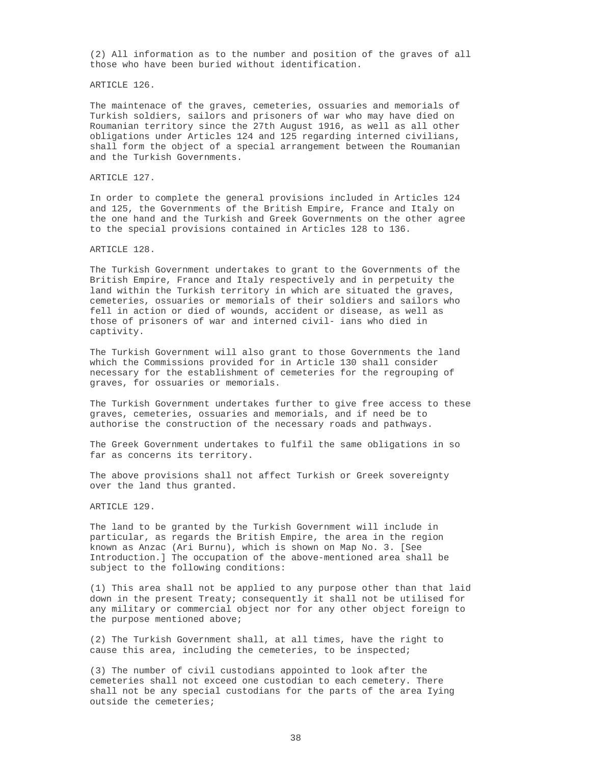(2) All information as to the number and position of the graves of all those who have been buried without identification.

ARTICLE 126.

The maintenace of the graves, cemeteries, ossuaries and memorials of Turkish soldiers, sailors and prisoners of war who may have died on Roumanian territory since the 27th August 1916, as well as all other obligations under Articles 124 and 125 regarding interned civilians, shall form the object of a special arrangement between the Roumanian and the Turkish Governments.

#### ARTICLE 127.

In order to complete the general provisions included in Articles 124 and 125, the Governments of the British Empire, France and Italy on the one hand and the Turkish and Greek Governments on the other agree to the special provisions contained in Articles 128 to 136.

#### ARTICLE 128.

The Turkish Government undertakes to grant to the Governments of the British Empire, France and Italy respectively and in perpetuity the land within the Turkish territory in which are situated the graves, cemeteries, ossuaries or memorials of their soldiers and sailors who fell in action or died of wounds, accident or disease, as well as those of prisoners of war and interned civil- ians who died in captivity.

The Turkish Government will also grant to those Governments the land which the Commissions provided for in Article 130 shall consider necessary for the establishment of cemeteries for the regrouping of graves, for ossuaries or memorials.

The Turkish Government undertakes further to give free access to these graves, cemeteries, ossuaries and memorials, and if need be to authorise the construction of the necessary roads and pathways.

The Greek Government undertakes to fulfil the same obligations in so far as concerns its territory.

The above provisions shall not affect Turkish or Greek sovereignty over the land thus granted.

ARTICLE 129.

The land to be granted by the Turkish Government will include in particular, as regards the British Empire, the area in the region known as Anzac (Ari Burnu), which is shown on Map No. 3. [See Introduction.] The occupation of the above-mentioned area shall be subject to the following conditions:

(1) This area shall not be applied to any purpose other than that laid down in the present Treaty; consequently it shall not be utilised for any military or commercial object nor for any other object foreign to the purpose mentioned above;

(2) The Turkish Government shall, at all times, have the right to cause this area, including the cemeteries, to be inspected;

(3) The number of civil custodians appointed to look after the cemeteries shall not exceed one custodian to each cemetery. There shall not be any special custodians for the parts of the area Iying outside the cemeteries;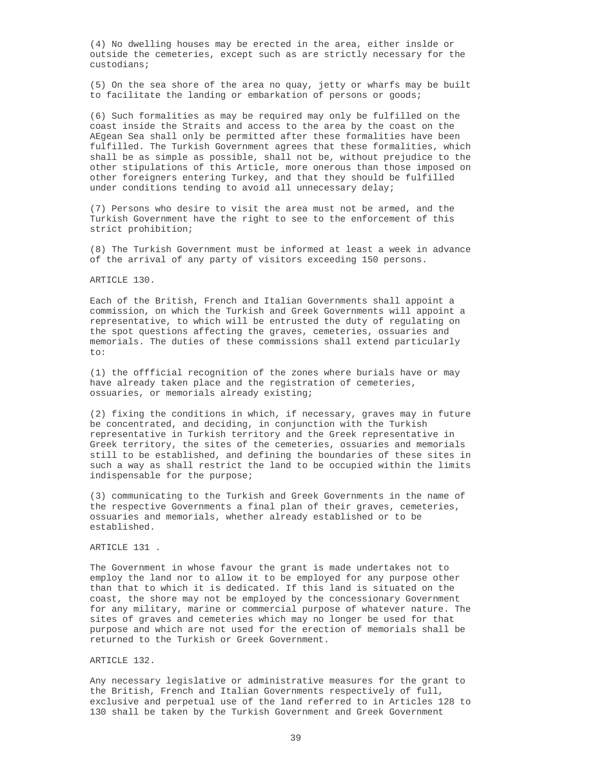(4) No dwelling houses may be erected in the area, either inslde or outside the cemeteries, except such as are strictly necessary for the custodians;

(5) On the sea shore of the area no quay, jetty or wharfs may be built to facilitate the landing or embarkation of persons or goods;

(6) Such formalities as may be required may only be fulfilled on the coast inside the Straits and access to the area by the coast on the AEgean Sea shall only be permitted after these formalities have been fulfilled. The Turkish Government agrees that these formalities, which shall be as simple as possible, shall not be, without prejudice to the other stipulations of this Article, more onerous than those imposed on other foreigners entering Turkey, and that they should be fulfilled under conditions tending to avoid all unnecessary delay;

(7) Persons who desire to visit the area must not be armed, and the Turkish Government have the right to see to the enforcement of this strict prohibition;

(8) The Turkish Government must be informed at least a week in advance of the arrival of any party of visitors exceeding 150 persons.

ARTICLE 130.

Each of the British, French and Italian Governments shall appoint a commission, on which the Turkish and Greek Governments will appoint a representative, to which will be entrusted the duty of regulating on the spot questions affecting the graves, cemeteries, ossuaries and memorials. The duties of these commissions shall extend particularly  $t \cap$ :

(1) the offficial recognition of the zones where burials have or may have already taken place and the registration of cemeteries, ossuaries, or memorials already existing;

(2) fixing the conditions in which, if necessary, graves may in future be concentrated, and deciding, in conjunction with the Turkish representative in Turkish territory and the Greek representative in Greek territory, the sites of the cemeteries, ossuaries and memorials still to be established, and defining the boundaries of these sites in such a way as shall restrict the land to be occupied within the limits indispensable for the purpose;

(3) communicating to the Turkish and Greek Governments in the name of the respective Governments a final plan of their graves, cemeteries, ossuaries and memorials, whether already established or to be established.

## ARTICLE 131 .

The Government in whose favour the grant is made undertakes not to employ the land nor to allow it to be employed for any purpose other than that to which it is dedicated. If this land is situated on the coast, the shore may not be employed by the concessionary Government for any military, marine or commercial purpose of whatever nature. The sites of graves and cemeteries which may no longer be used for that purpose and which are not used for the erection of memorials shall be returned to the Turkish or Greek Government.

ARTICLE 132.

Any necessary legislative or administrative measures for the grant to the British, French and Italian Governments respectively of full, exclusive and perpetual use of the land referred to in Articles 128 to 130 shall be taken by the Turkish Government and Greek Government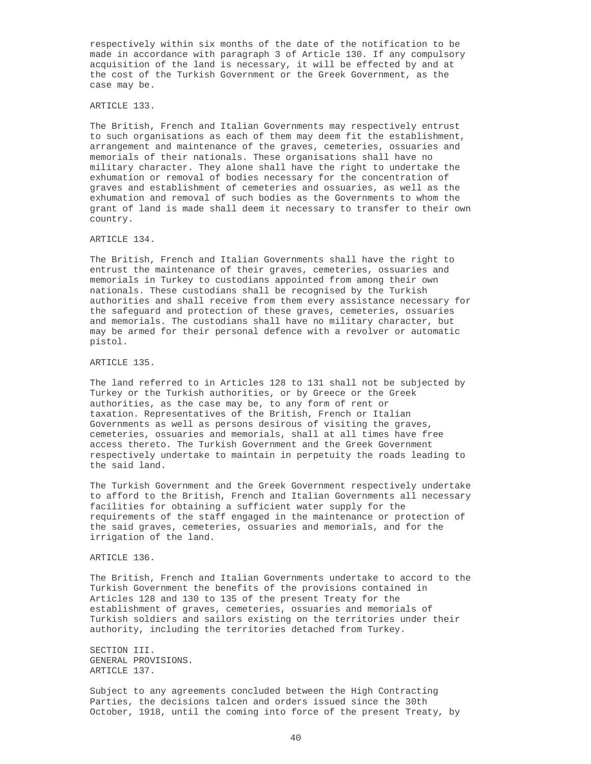respectively within six months of the date of the notification to be made in accordance with paragraph 3 of Article 130. If any compulsory acquisition of the land is necessary, it will be effected by and at the cost of the Turkish Government or the Greek Government, as the case may be.

ARTICLE 133.

The British, French and Italian Governments may respectively entrust to such organisations as each of them may deem fit the establishment, arrangement and maintenance of the graves, cemeteries, ossuaries and memorials of their nationals. These organisations shall have no military character. They alone shall have the right to undertake the exhumation or removal of bodies necessary for the concentration of graves and establishment of cemeteries and ossuaries, as well as the exhumation and removal of such bodies as the Governments to whom the grant of land is made shall deem it necessary to transfer to their own country.

ARTICLE 134.

The British, French and Italian Governments shall have the right to entrust the maintenance of their graves, cemeteries, ossuaries and memorials in Turkey to custodians appointed from among their own nationals. These custodians shall be recognised by the Turkish authorities and shall receive from them every assistance necessary for the safeguard and protection of these graves, cemeteries, ossuaries and memorials. The custodians shall have no military character, but may be armed for their personal defence with a revolver or automatic pistol.

ARTICLE 135.

The land referred to in Articles 128 to 131 shall not be subjected by Turkey or the Turkish authorities, or by Greece or the Greek authorities, as the case may be, to any form of rent or taxation. Representatives of the British, French or Italian Governments as well as persons desirous of visiting the graves, cemeteries, ossuaries and memorials, shall at all times have free access thereto. The Turkish Government and the Greek Government respectively undertake to maintain in perpetuity the roads leading to the said land.

The Turkish Government and the Greek Government respectively undertake to afford to the British, French and Italian Governments all necessary facilities for obtaining a sufficient water supply for the requirements of the staff engaged in the maintenance or protection of the said graves, cemeteries, ossuaries and memorials, and for the irrigation of the land.

ARTICLE 136.

The British, French and Italian Governments undertake to accord to the Turkish Government the benefits of the provisions contained in Articles 128 and 130 to 135 of the present Treaty for the establishment of graves, cemeteries, ossuaries and memorials of Turkish soldiers and sailors existing on the territories under their authority, including the territories detached from Turkey.

SECTION III. GENERAL PROVISIONS. ARTICLE 137.

Subject to any agreements concluded between the High Contracting Parties, the decisions talcen and orders issued since the 30th October, 1918, until the coming into force of the present Treaty, by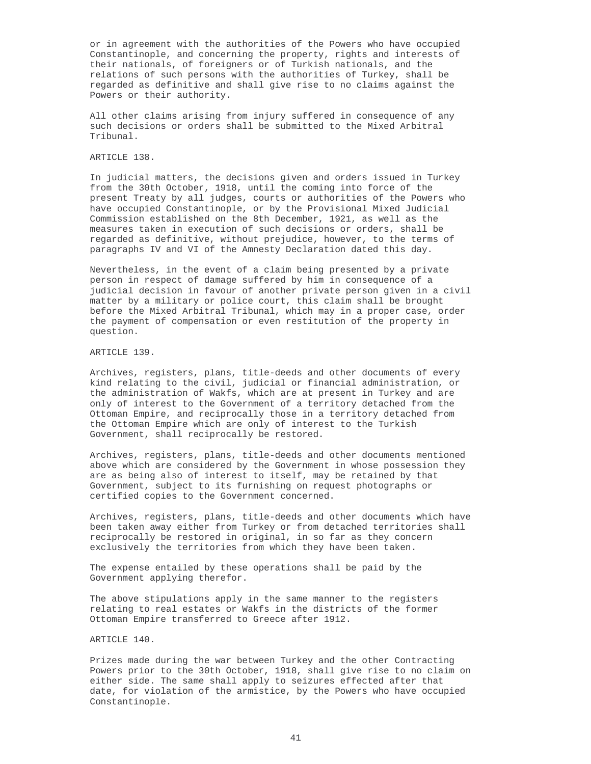or in agreement with the authorities of the Powers who have occupied Constantinople, and concerning the property, rights and interests of their nationals, of foreigners or of Turkish nationals, and the relations of such persons with the authorities of Turkey, shall be regarded as definitive and shall give rise to no claims against the Powers or their authority.

All other claims arising from injury suffered in consequence of any such decisions or orders shall be submitted to the Mixed Arbitral Tribunal.

ARTICLE 138.

In judicial matters, the decisions given and orders issued in Turkey from the 30th October, 1918, until the coming into force of the present Treaty by all judges, courts or authorities of the Powers who have occupied Constantinople, or by the Provisional Mixed Judicial Commission established on the 8th December, 1921, as well as the measures taken in execution of such decisions or orders, shall be regarded as definitive, without prejudice, however, to the terms of paragraphs IV and VI of the Amnesty Declaration dated this day.

Nevertheless, in the event of a claim being presented by a private person in respect of damage suffered by him in consequence of a judicial decision in favour of another private person given in a civil matter by a military or police court, this claim shall be brought before the Mixed Arbitral Tribunal, which may in a proper case, order the payment of compensation or even restitution of the property in question.

ARTICLE 139.

Archives, registers, plans, title-deeds and other documents of every kind relating to the civil, judicial or financial administration, or the administration of Wakfs, which are at present in Turkey and are only of interest to the Government of a territory detached from the Ottoman Empire, and reciprocally those in a territory detached from the Ottoman Empire which are only of interest to the Turkish Government, shall reciprocally be restored.

Archives, registers, plans, title-deeds and other documents mentioned above which are considered by the Government in whose possession they are as being also of interest to itself, may be retained by that Government, subject to its furnishing on request photographs or certified copies to the Government concerned.

Archives, registers, plans, title-deeds and other documents which have been taken away either from Turkey or from detached territories shall reciprocally be restored in original, in so far as they concern exclusively the territories from which they have been taken.

The expense entailed by these operations shall be paid by the Government applying therefor.

The above stipulations apply in the same manner to the registers relating to real estates or Wakfs in the districts of the former Ottoman Empire transferred to Greece after 1912.

ARTICLE 140.

Prizes made during the war between Turkey and the other Contracting Powers prior to the 30th October, 1918, shall give rise to no claim on either side. The same shall apply to seizures effected after that date, for violation of the armistice, by the Powers who have occupied Constantinople.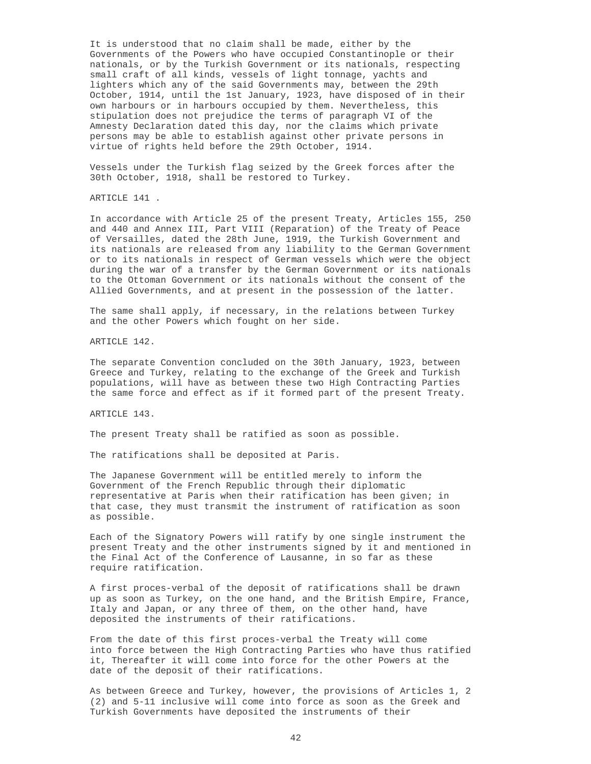It is understood that no claim shall be made, either by the Governments of the Powers who have occupied Constantinople or their nationals, or by the Turkish Government or its nationals, respecting small craft of all kinds, vessels of light tonnage, yachts and lighters which any of the said Governments may, between the 29th October, 1914, until the 1st January, 1923, have disposed of in their own harbours or in harbours occupied by them. Nevertheless, this stipulation does not prejudice the terms of paragraph VI of the Amnesty Declaration dated this day, nor the claims which private persons may be able to establish against other private persons in virtue of rights held before the 29th October, 1914.

Vessels under the Turkish flag seized by the Greek forces after the 30th October, 1918, shall be restored to Turkey.

ARTICLE 141 .

In accordance with Article 25 of the present Treaty, Articles 155, 250 and 440 and Annex III, Part VIII (Reparation) of the Treaty of Peace of Versailles, dated the 28th June, 1919, the Turkish Government and its nationals are released from any liability to the German Government or to its nationals in respect of German vessels which were the object during the war of a transfer by the German Government or its nationals to the Ottoman Government or its nationals without the consent of the Allied Governments, and at present in the possession of the latter.

The same shall apply, if necessary, in the relations between Turkey and the other Powers which fought on her side.

ARTICLE 142.

The separate Convention concluded on the 30th January, 1923, between Greece and Turkey, relating to the exchange of the Greek and Turkish populations, will have as between these two High Contracting Parties the same force and effect as if it formed part of the present Treaty.

ARTICLE 143.

The present Treaty shall be ratified as soon as possible.

The ratifications shall be deposited at Paris.

The Japanese Government will be entitled merely to inform the Government of the French Republic through their diplomatic representative at Paris when their ratification has been given; in that case, they must transmit the instrument of ratification as soon as possible.

Each of the Signatory Powers will ratify by one single instrument the present Treaty and the other instruments signed by it and mentioned in the Final Act of the Conference of Lausanne, in so far as these require ratification.

A first proces-verbal of the deposit of ratifications shall be drawn up as soon as Turkey, on the one hand, and the British Empire, France, Italy and Japan, or any three of them, on the other hand, have deposited the instruments of their ratifications.

From the date of this first proces-verbal the Treaty will come into force between the High Contracting Parties who have thus ratified it, Thereafter it will come into force for the other Powers at the date of the deposit of their ratifications.

As between Greece and Turkey, however, the provisions of Articles 1, 2 (2) and 5-11 inclusive will come into force as soon as the Greek and Turkish Governments have deposited the instruments of their